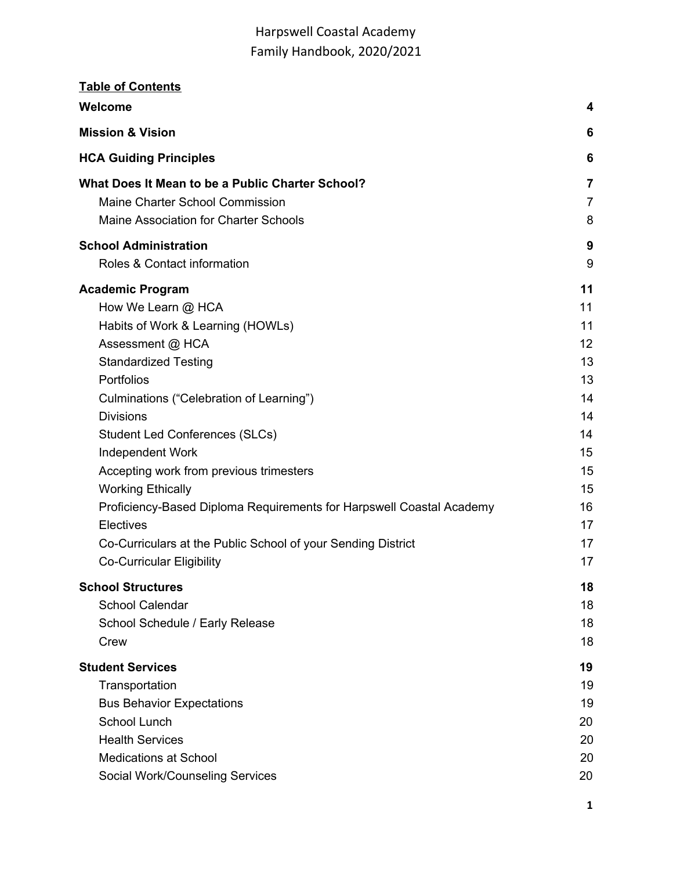| <b>Table of Contents</b>                                             |                |
|----------------------------------------------------------------------|----------------|
| Welcome                                                              | 4              |
| <b>Mission &amp; Vision</b>                                          | 6              |
| <b>HCA Guiding Principles</b>                                        | 6              |
| What Does It Mean to be a Public Charter School?                     | $\overline{7}$ |
| Maine Charter School Commission                                      | $\overline{7}$ |
| Maine Association for Charter Schools                                | 8              |
| <b>School Administration</b>                                         | 9              |
| Roles & Contact information                                          | 9              |
| <b>Academic Program</b>                                              | 11             |
| How We Learn @ HCA                                                   | 11             |
| Habits of Work & Learning (HOWLs)                                    | 11             |
| Assessment @ HCA                                                     | 12             |
| <b>Standardized Testing</b>                                          | 13             |
| Portfolios                                                           | 13             |
| Culminations ("Celebration of Learning")                             | 14             |
| <b>Divisions</b>                                                     | 14             |
| <b>Student Led Conferences (SLCs)</b>                                | 14             |
| Independent Work                                                     | 15             |
| Accepting work from previous trimesters                              | 15             |
| <b>Working Ethically</b>                                             | 15             |
| Proficiency-Based Diploma Requirements for Harpswell Coastal Academy | 16             |
| Electives                                                            | 17             |
| Co-Curriculars at the Public School of your Sending District         | 17             |
| <b>Co-Curricular Eligibility</b>                                     | 17             |
| <b>School Structures</b>                                             | 18             |
| <b>School Calendar</b>                                               | 18             |
| School Schedule / Early Release                                      | 18             |
| Crew                                                                 | 18             |
| <b>Student Services</b>                                              | 19             |
| Transportation                                                       | 19             |
| <b>Bus Behavior Expectations</b>                                     | 19             |
| School Lunch                                                         | 20             |
| <b>Health Services</b>                                               | 20             |
| <b>Medications at School</b>                                         | 20             |
| Social Work/Counseling Services                                      | 20             |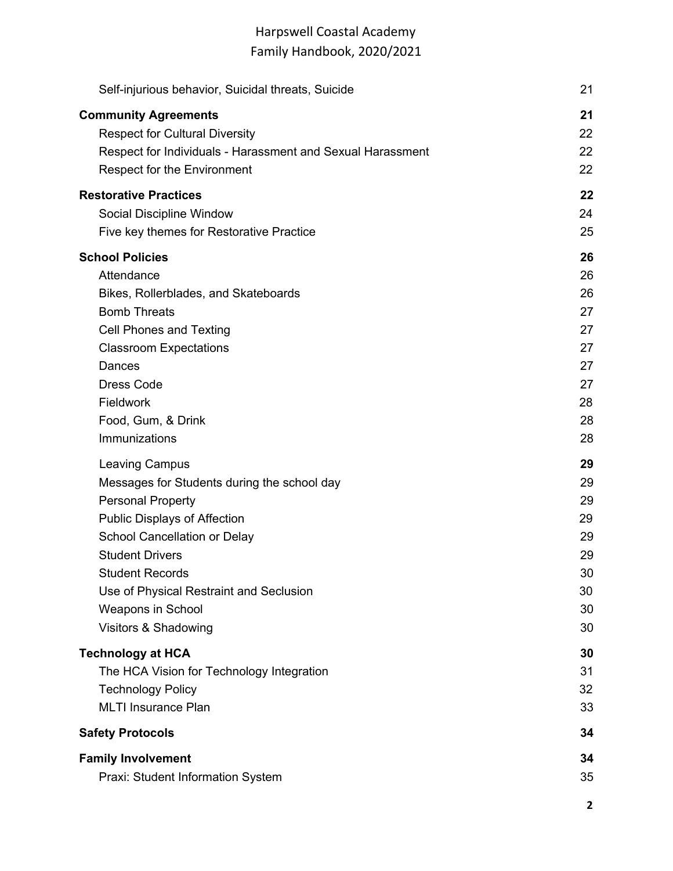| Self-injurious behavior, Suicidal threats, Suicide         | 21 |
|------------------------------------------------------------|----|
| <b>Community Agreements</b>                                | 21 |
| <b>Respect for Cultural Diversity</b>                      | 22 |
| Respect for Individuals - Harassment and Sexual Harassment | 22 |
| <b>Respect for the Environment</b>                         | 22 |
| <b>Restorative Practices</b>                               | 22 |
| Social Discipline Window                                   | 24 |
| Five key themes for Restorative Practice                   | 25 |
| <b>School Policies</b>                                     | 26 |
| Attendance                                                 | 26 |
| Bikes, Rollerblades, and Skateboards                       | 26 |
| <b>Bomb Threats</b>                                        | 27 |
| Cell Phones and Texting                                    | 27 |
| <b>Classroom Expectations</b>                              | 27 |
| Dances                                                     | 27 |
| <b>Dress Code</b>                                          | 27 |
| Fieldwork                                                  | 28 |
| Food, Gum, & Drink                                         | 28 |
| Immunizations                                              | 28 |
| <b>Leaving Campus</b>                                      | 29 |
| Messages for Students during the school day                | 29 |
| <b>Personal Property</b>                                   | 29 |
| <b>Public Displays of Affection</b>                        | 29 |
| School Cancellation or Delay                               | 29 |
| <b>Student Drivers</b>                                     | 29 |
| <b>Student Records</b>                                     | 30 |
| Use of Physical Restraint and Seclusion                    | 30 |
| Weapons in School                                          | 30 |
| Visitors & Shadowing                                       | 30 |
| <b>Technology at HCA</b>                                   | 30 |
| The HCA Vision for Technology Integration                  | 31 |
| <b>Technology Policy</b>                                   | 32 |
| <b>MLTI Insurance Plan</b>                                 | 33 |
| <b>Safety Protocols</b>                                    | 34 |
| <b>Family Involvement</b>                                  | 34 |
| Praxi: Student Information System                          | 35 |

**2**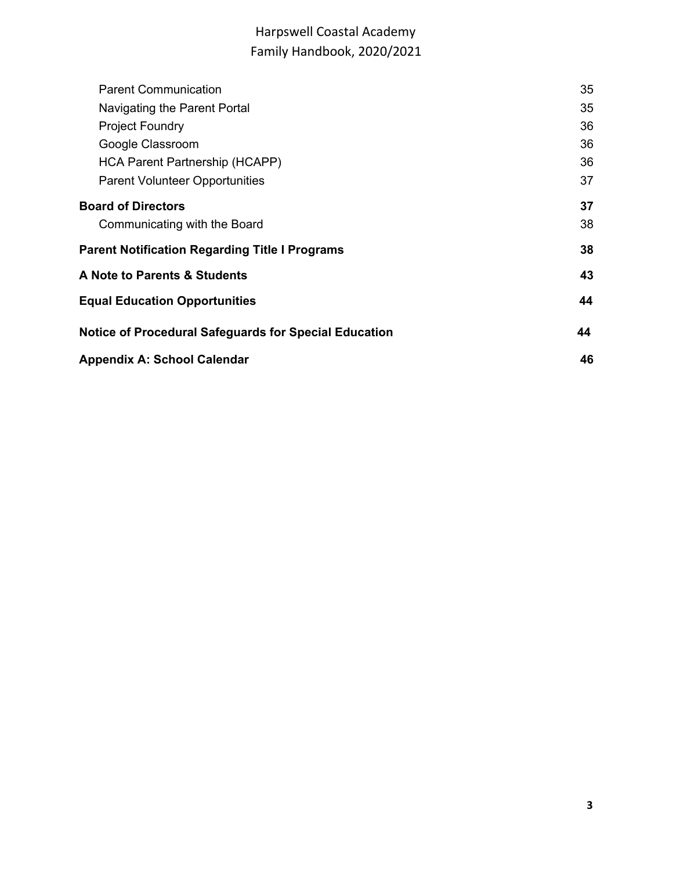| <b>Parent Communication</b>                                  | 35 |  |
|--------------------------------------------------------------|----|--|
| Navigating the Parent Portal                                 | 35 |  |
| <b>Project Foundry</b>                                       | 36 |  |
| Google Classroom                                             | 36 |  |
| HCA Parent Partnership (HCAPP)                               | 36 |  |
| <b>Parent Volunteer Opportunities</b>                        | 37 |  |
| <b>Board of Directors</b>                                    | 37 |  |
| Communicating with the Board                                 | 38 |  |
| <b>Parent Notification Regarding Title I Programs</b>        | 38 |  |
| A Note to Parents & Students                                 | 43 |  |
| <b>Equal Education Opportunities</b>                         |    |  |
| <b>Notice of Procedural Safeguards for Special Education</b> | 44 |  |
| Appendix A: School Calendar                                  | 46 |  |
|                                                              |    |  |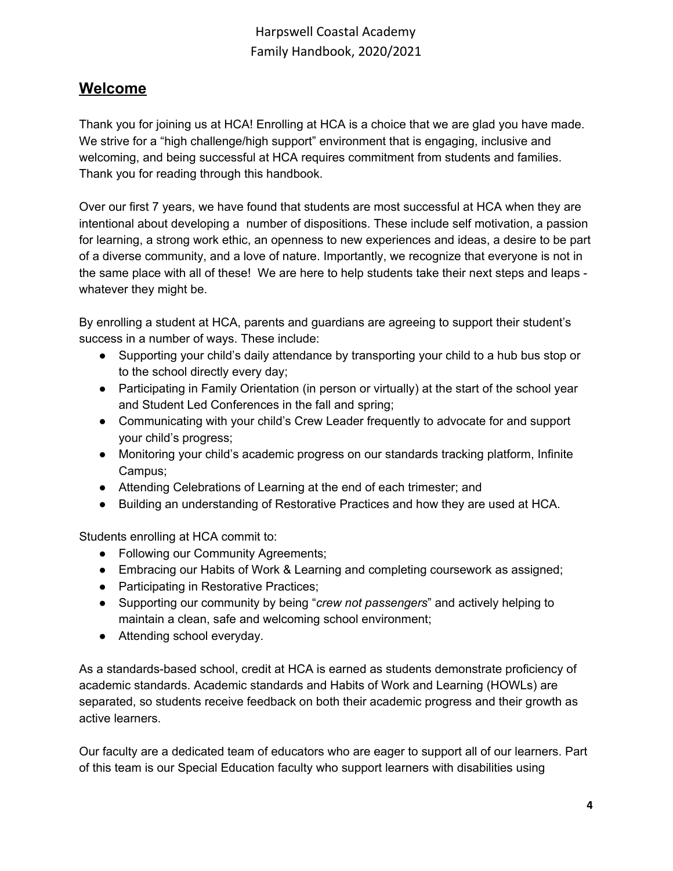## <span id="page-3-0"></span>**Welcome**

Thank you for joining us at HCA! Enrolling at HCA is a choice that we are glad you have made. We strive for a "high challenge/high support" environment that is engaging, inclusive and welcoming, and being successful at HCA requires commitment from students and families. Thank you for reading through this handbook.

Over our first 7 years, we have found that students are most successful at HCA when they are intentional about developing a number of dispositions. These include self motivation, a passion for learning, a strong work ethic, an openness to new experiences and ideas, a desire to be part of a diverse community, and a love of nature. Importantly, we recognize that everyone is not in the same place with all of these! We are here to help students take their next steps and leaps whatever they might be.

By enrolling a student at HCA, parents and guardians are agreeing to support their student's success in a number of ways. These include:

- Supporting your child's daily attendance by transporting your child to a hub bus stop or to the school directly every day;
- Participating in Family Orientation (in person or virtually) at the start of the school year and Student Led Conferences in the fall and spring;
- Communicating with your child's Crew Leader frequently to advocate for and support your child's progress;
- Monitoring your child's academic progress on our standards tracking platform, Infinite Campus;
- Attending Celebrations of Learning at the end of each trimester; and
- Building an understanding of Restorative Practices and how they are used at HCA.

Students enrolling at HCA commit to:

- Following our Community Agreements;
- Embracing our Habits of Work & Learning and completing coursework as assigned;
- Participating in Restorative Practices;
- Supporting our community by being "*crew not passengers*" and actively helping to maintain a clean, safe and welcoming school environment;
- Attending school everyday.

As a standards-based school, credit at HCA is earned as students demonstrate proficiency of academic standards. Academic standards and Habits of Work and Learning (HOWLs) are separated, so students receive feedback on both their academic progress and their growth as active learners.

Our faculty are a dedicated team of educators who are eager to support all of our learners. Part of this team is our Special Education faculty who support learners with disabilities using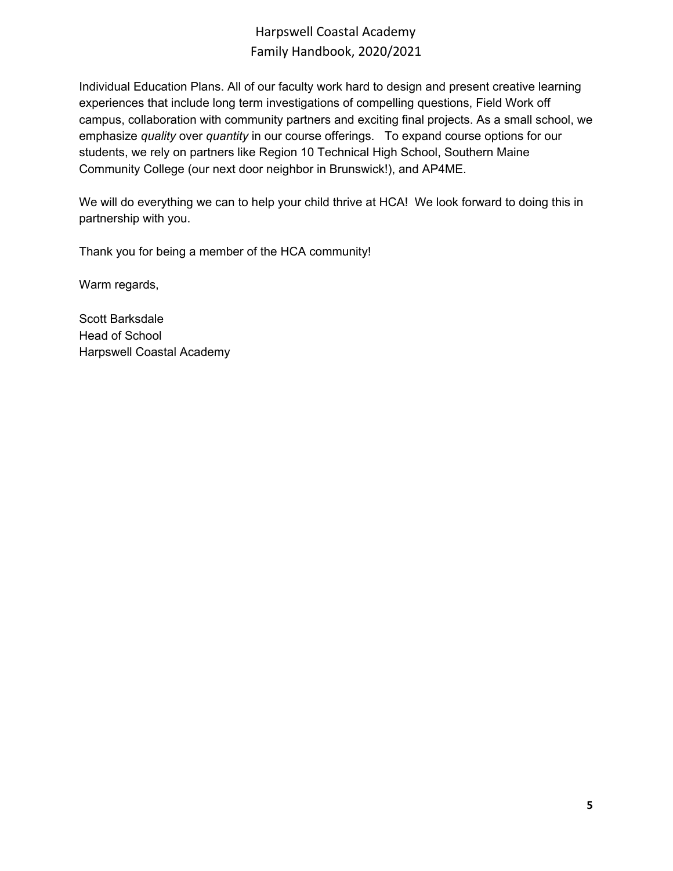Individual Education Plans. All of our faculty work hard to design and present creative learning experiences that include long term investigations of compelling questions, Field Work off campus, collaboration with community partners and exciting final projects. As a small school, we emphasize *quality* over *quantity* in our course offerings. To expand course options for our students, we rely on partners like Region 10 Technical High School, Southern Maine Community College (our next door neighbor in Brunswick!), and AP4ME.

We will do everything we can to help your child thrive at HCA! We look forward to doing this in partnership with you.

Thank you for being a member of the HCA community!

Warm regards,

Scott Barksdale Head of School Harpswell Coastal Academy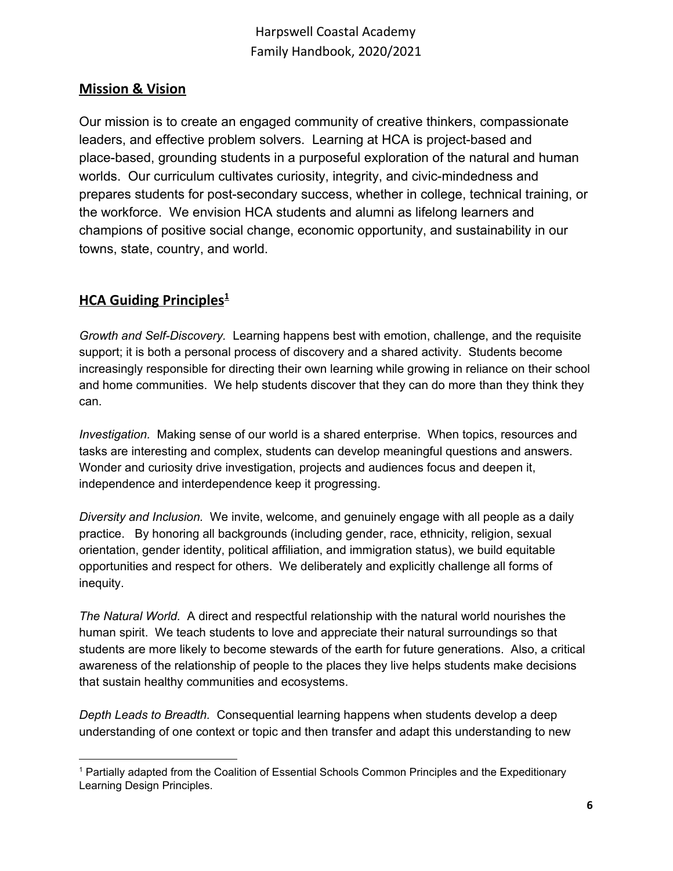## <span id="page-5-0"></span>**Mission & Vision**

Our mission is to create an engaged community of creative thinkers, compassionate leaders, and effective problem solvers. Learning at HCA is project-based and place-based, grounding students in a purposeful exploration of the natural and human worlds. Our curriculum cultivates curiosity, integrity, and civic-mindedness and prepares students for post-secondary success, whether in college, technical training, or the workforce. We envision HCA students and alumni as lifelong learners and champions of positive social change, economic opportunity, and sustainability in our towns, state, country, and world.

## <span id="page-5-1"></span>**HCA Guiding Principles 1**

*Growth and Self-Discovery.* Learning happens best with emotion, challenge, and the requisite support; it is both a personal process of discovery and a shared activity. Students become increasingly responsible for directing their own learning while growing in reliance on their school and home communities. We help students discover that they can do more than they think they can.

*Investigation.* Making sense of our world is a shared enterprise. When topics, resources and tasks are interesting and complex, students can develop meaningful questions and answers. Wonder and curiosity drive investigation, projects and audiences focus and deepen it, independence and interdependence keep it progressing.

*Diversity and Inclusion.* We invite, welcome, and genuinely engage with all people as a daily practice. By honoring all backgrounds (including gender, race, ethnicity, religion, sexual orientation, gender identity, political affiliation, and immigration status), we build equitable opportunities and respect for others. We deliberately and explicitly challenge all forms of inequity.

*The Natural World.* A direct and respectful relationship with the natural world nourishes the human spirit. We teach students to love and appreciate their natural surroundings so that students are more likely to become stewards of the earth for future generations. Also, a critical awareness of the relationship of people to the places they live helps students make decisions that sustain healthy communities and ecosystems.

*Depth Leads to Breadth.* Consequential learning happens when students develop a deep understanding of one context or topic and then transfer and adapt this understanding to new

<sup>1</sup> Partially adapted from the Coalition of Essential Schools Common Principles and the Expeditionary Learning Design Principles.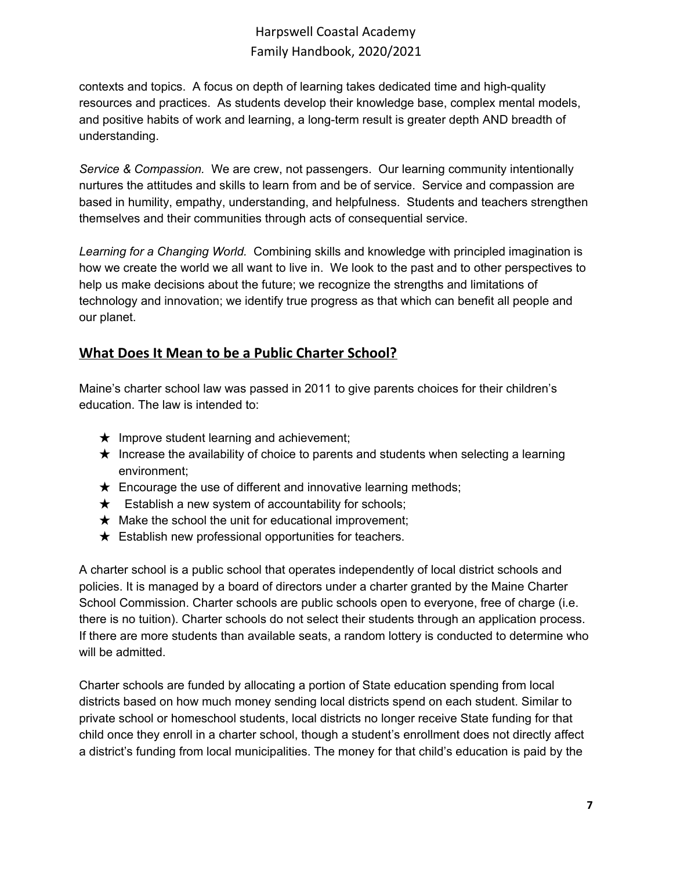contexts and topics. A focus on depth of learning takes dedicated time and high-quality resources and practices. As students develop their knowledge base, complex mental models, and positive habits of work and learning, a long-term result is greater depth AND breadth of understanding.

*Service & Compassion.* We are crew, not passengers. Our learning community intentionally nurtures the attitudes and skills to learn from and be of service. Service and compassion are based in humility, empathy, understanding, and helpfulness. Students and teachers strengthen themselves and their communities through acts of consequential service.

*Learning for a Changing World.* Combining skills and knowledge with principled imagination is how we create the world we all want to live in. We look to the past and to other perspectives to help us make decisions about the future; we recognize the strengths and limitations of technology and innovation; we identify true progress as that which can benefit all people and our planet.

## <span id="page-6-0"></span>**What Does It Mean to be a Public Charter School?**

Maine's charter school law was passed in 2011 to give parents choices for their children's education. The law is intended to:

- $\star$  Improve student learning and achievement;
- $\star$  Increase the availability of choice to parents and students when selecting a learning environment;
- $\star$  Encourage the use of different and innovative learning methods;
- $\star$  Establish a new system of accountability for schools;
- $\star$  Make the school the unit for educational improvement;
- $\star$  Establish new professional opportunities for teachers.

A charter school is a public school that operates independently of local district schools and policies. It is managed by a board of directors under a charter granted by the Maine Charter School Commission. Charter schools are public schools open to everyone, free of charge (i.e. there is no tuition). Charter schools do not select their students through an application process. If there are more students than available seats, a random lottery is conducted to determine who will be admitted.

Charter schools are funded by allocating a portion of State education spending from local districts based on how much money sending local districts spend on each student. Similar to private school or homeschool students, local districts no longer receive State funding for that child once they enroll in a charter school, though a student's enrollment does not directly affect a district's funding from local municipalities. The money for that child's education is paid by the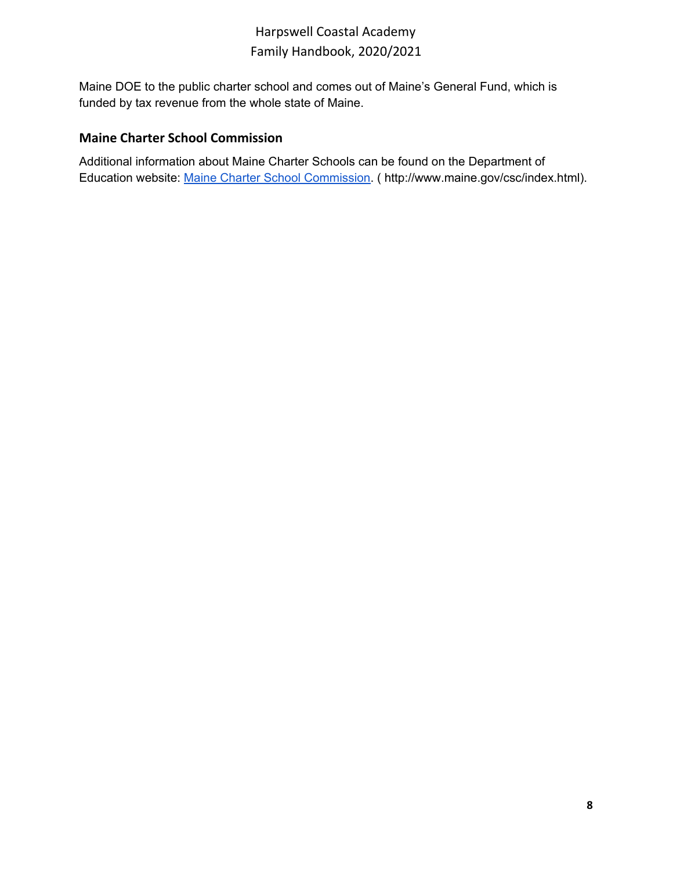Maine DOE to the public charter school and comes out of Maine's General Fund, which is funded by tax revenue from the whole state of Maine.

## <span id="page-7-0"></span>**Maine Charter School Commission**

Additional information about Maine Charter Schools can be found on the Department of Education website: Maine Charter School [Commission.](http://www.maine.gov/csc/) ( [http://www.maine.gov/csc/index.html\).](http://www.maine.gov/csc/index.html)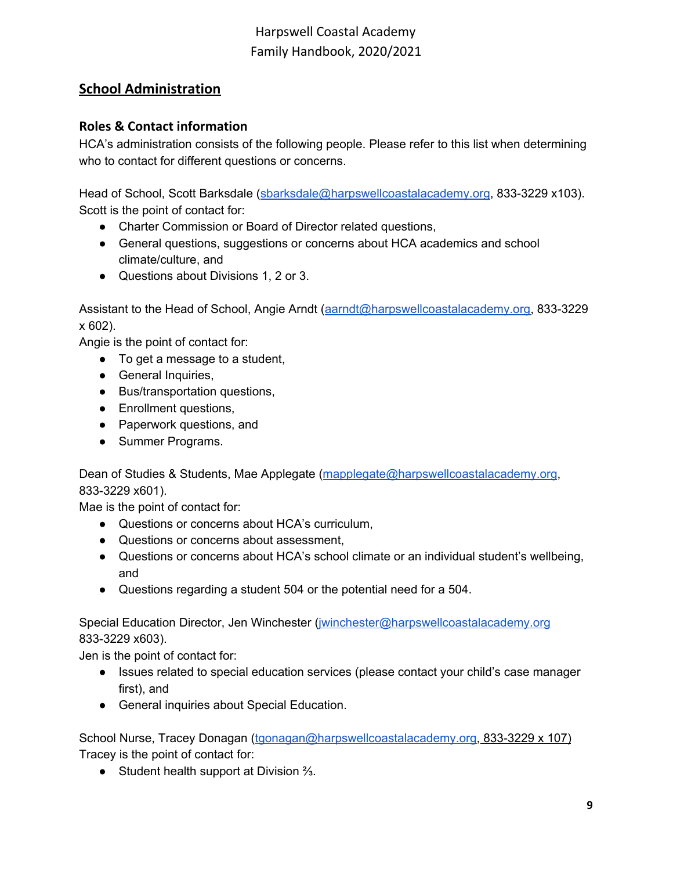## <span id="page-8-0"></span>**School Administration**

## <span id="page-8-1"></span>**Roles & Contact information**

HCA's administration consists of the following people. Please refer to this list when determining who to contact for different questions or concerns.

Head of School, Scott Barksdale ([sbarksdale@harpswellcoastalacademy.org](mailto:sbarksdale@harpswellcoastalacademy.org), 833-3229 x103). Scott is the point of contact for:

- Charter Commission or Board of Director related questions,
- General questions, suggestions or concerns about HCA academics and school climate/culture, and
- Questions about Divisions 1, 2 or 3.

Assistant to the Head of School, Angie Arndt ([aarndt@harpswellcoastalacademy.org,](mailto:aarndt@harpswellcoastalacademy.org) 833-3229 x 602).

Angie is the point of contact for:

- To get a message to a student,
- General Inquiries,
- Bus/transportation questions,
- Enrollment questions,
- Paperwork questions, and
- Summer Programs.

Dean of Studies & Students, Mae Applegate ([mapplegate@harpswellcoastalacademy.org](mailto:mapplegate@harpswellcoastalacademy.org), 833-3229 x601).

Mae is the point of contact for:

- Questions or concerns about HCA's curriculum,
- Questions or concerns about assessment,
- Questions or concerns about HCA's school climate or an individual student's wellbeing, and
- Questions regarding a student 504 or the potential need for a 504.

Special Education Director, Jen Winchester [\(jwinchester@harpswellcoastalacademy.org](mailto:jwinchester@harpswellcoastalacademy.org) 833-3229 x603).

Jen is the point of contact for:

- Issues related to special education services (please contact your child's case manager first), and
- General inquiries about Special Education.

School Nurse, Tracey Donagan [\(tgonagan@harpswellcoastalacademy.org,](mailto:tgonagan@harpswellcoastalacademy.org) 833-3229 x 107) Tracey is the point of contact for:

● Student health support at Division  $\frac{2}{3}$ .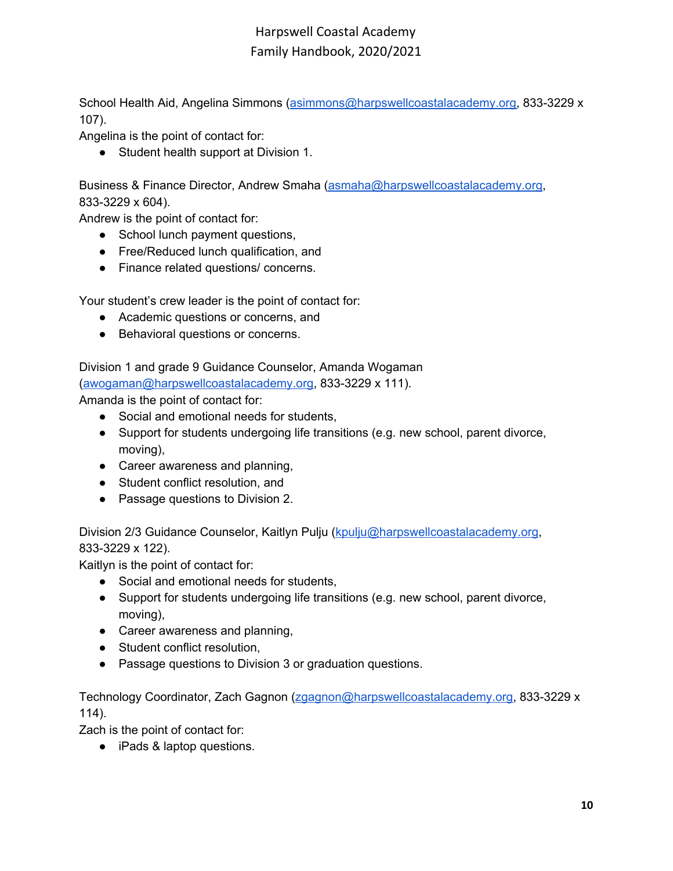School Health Aid, Angelina Simmons ([asimmons@harpswellcoastalacademy.org,](mailto:asimmons@harpswellcoastalacademy.org) 833-3229 x 107).

Angelina is the point of contact for:

● Student health support at Division 1.

Business & Finance Director, Andrew Smaha [\(asmaha@harpswellcoastalacademy.org,](mailto:asmaha@harpswellcoastalacademy.org) 833-3229 x 604).

Andrew is the point of contact for:

- School lunch payment questions,
- Free/Reduced lunch qualification, and
- Finance related questions/ concerns.

Your student's crew leader is the point of contact for:

- Academic questions or concerns, and
- Behavioral questions or concerns.

Division 1 and grade 9 Guidance Counselor, Amanda Wogaman ([awogaman@harpswellcoastalacademy.org,](mailto:awogaman@harpswellcoastalacademy.org) 833-3229 x 111).

Amanda is the point of contact for:

- Social and emotional needs for students,
- Support for students undergoing life transitions (e.g. new school, parent divorce, moving),
- Career awareness and planning,
- Student conflict resolution, and
- Passage questions to Division 2.

Division 2/3 Guidance Counselor, Kaitlyn Pulju [\(kpulju@harpswellcoastalacademy.org](mailto:kpulju@harpswellcoastalacademy.org), 833-3229 x 122).

Kaitlyn is the point of contact for:

- Social and emotional needs for students,
- Support for students undergoing life transitions (e.g. new school, parent divorce, moving),
- Career awareness and planning,
- Student conflict resolution,
- Passage questions to Division 3 or graduation questions.

Technology Coordinator, Zach Gagnon [\(zgagnon@harpswellcoastalacademy.org,](mailto:zgagnon@harpswellcoastalacademy.org) 833-3229 x 114).

Zach is the point of contact for:

● iPads & laptop questions.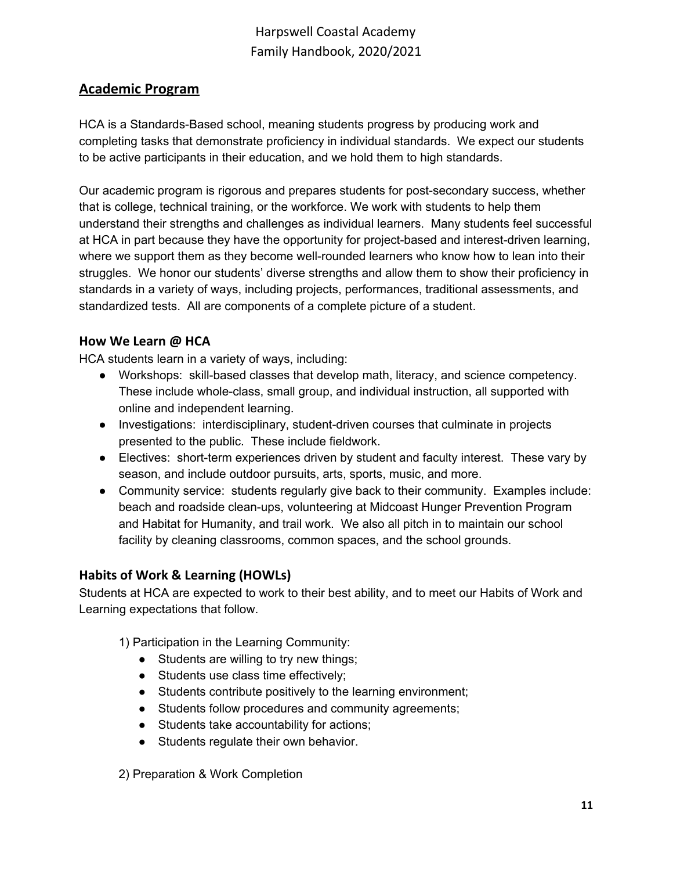## <span id="page-10-0"></span>**Academic Program**

HCA is a Standards-Based school, meaning students progress by producing work and completing tasks that demonstrate proficiency in individual standards. We expect our students to be active participants in their education, and we hold them to high standards.

Our academic program is rigorous and prepares students for post-secondary success, whether that is college, technical training, or the workforce. We work with students to help them understand their strengths and challenges as individual learners. Many students feel successful at HCA in part because they have the opportunity for project-based and interest-driven learning, where we support them as they become well-rounded learners who know how to lean into their struggles. We honor our students' diverse strengths and allow them to show their proficiency in standards in a variety of ways, including projects, performances, traditional assessments, and standardized tests. All are components of a complete picture of a student.

## <span id="page-10-1"></span>**How We Learn @ HCA**

HCA students learn in a variety of ways, including:

- Workshops: skill-based classes that develop math, literacy, and science competency. These include whole-class, small group, and individual instruction, all supported with online and independent learning.
- Investigations: interdisciplinary, student-driven courses that culminate in projects presented to the public. These include fieldwork.
- Electives: short-term experiences driven by student and faculty interest. These vary by season, and include outdoor pursuits, arts, sports, music, and more.
- Community service: students regularly give back to their community. Examples include: beach and roadside clean-ups, volunteering at Midcoast Hunger Prevention Program and Habitat for Humanity, and trail work. We also all pitch in to maintain our school facility by cleaning classrooms, common spaces, and the school grounds.

## <span id="page-10-2"></span>**Habits of Work & Learning (HOWLs)**

Students at HCA are expected to work to their best ability, and to meet our Habits of Work and Learning expectations that follow.

- 1) Participation in the Learning Community:
	- Students are willing to try new things;
	- Students use class time effectively;
	- Students contribute positively to the learning environment;
	- Students follow procedures and community agreements;
	- Students take accountability for actions;
	- Students regulate their own behavior.

2) Preparation & Work Completion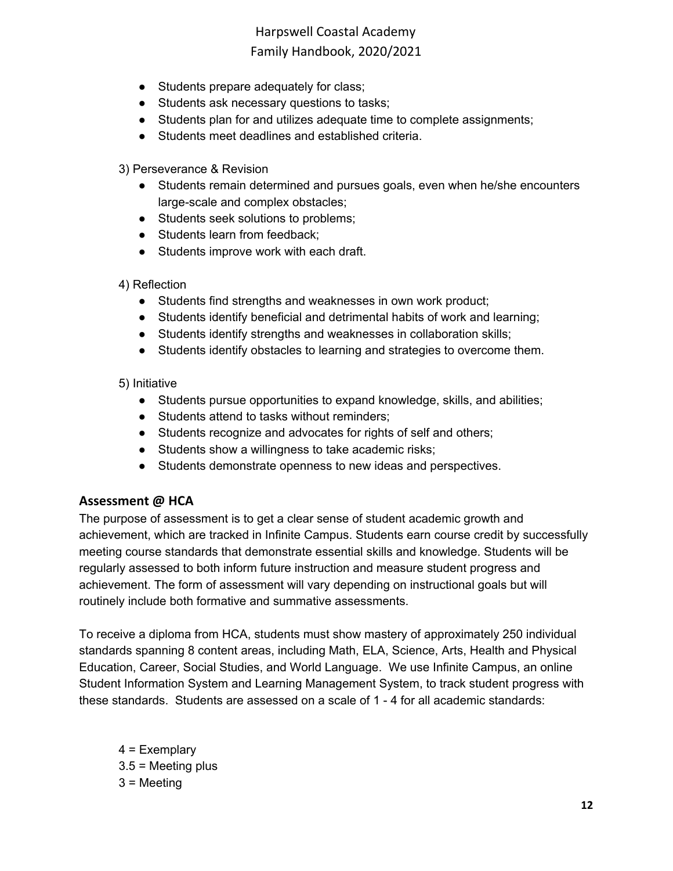- Students prepare adequately for class;
- Students ask necessary questions to tasks;
- Students plan for and utilizes adequate time to complete assignments;
- Students meet deadlines and established criteria.
- 3) Perseverance & Revision
	- Students remain determined and pursues goals, even when he/she encounters large-scale and complex obstacles;
	- Students seek solutions to problems;
	- Students learn from feedback;
	- Students improve work with each draft.
- 4) Reflection
	- Students find strengths and weaknesses in own work product;
	- Students identify beneficial and detrimental habits of work and learning;
	- Students identify strengths and weaknesses in collaboration skills;
	- Students identify obstacles to learning and strategies to overcome them.

#### 5) Initiative

- Students pursue opportunities to expand knowledge, skills, and abilities;
- Students attend to tasks without reminders;
- Students recognize and advocates for rights of self and others;
- Students show a willingness to take academic risks;
- Students demonstrate openness to new ideas and perspectives.

### <span id="page-11-0"></span>**Assessment @ HCA**

The purpose of assessment is to get a clear sense of student academic growth and achievement, which are tracked in Infinite Campus. Students earn course credit by successfully meeting course standards that demonstrate essential skills and knowledge. Students will be regularly assessed to both inform future instruction and measure student progress and achievement. The form of assessment will vary depending on instructional goals but will routinely include both formative and summative assessments.

To receive a diploma from HCA, students must show mastery of approximately 250 individual standards spanning 8 content areas, including Math, ELA, Science, Arts, Health and Physical Education, Career, Social Studies, and World Language. We use Infinite Campus, an online Student Information System and Learning Management System, to track student progress with these standards. Students are assessed on a scale of 1 - 4 for all academic standards:

4 = Exemplary  $3.5$  = Meeting plus 3 = Meeting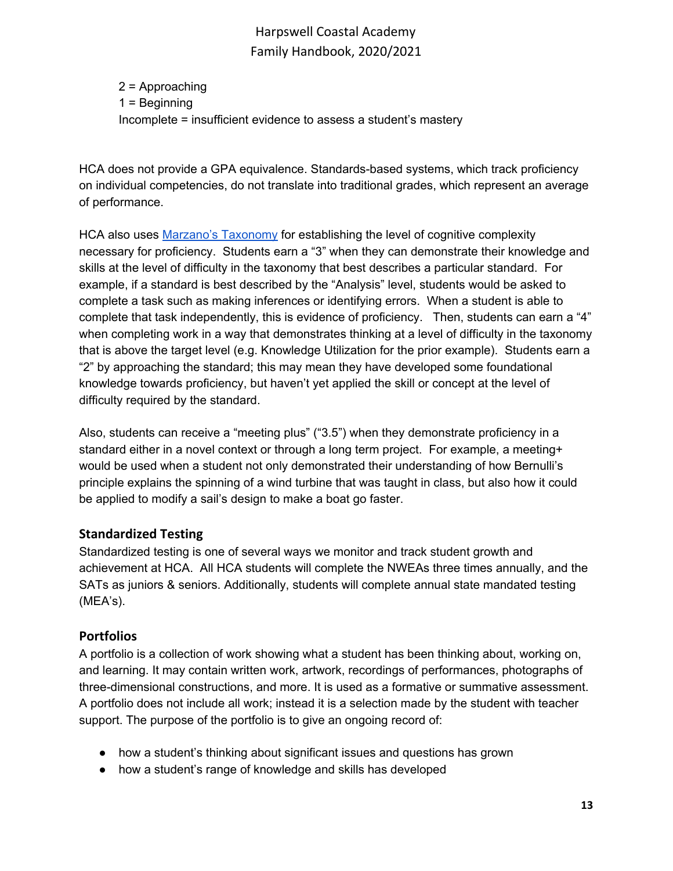2 = Approaching 1 = Beginning Incomplete = insufficient evidence to assess a student's mastery

HCA does not provide a GPA equivalence. Standards-based systems, which track proficiency on individual competencies, do not translate into traditional grades, which represent an average of performance.

HCA also uses Marzano's [Taxonomy](https://www.cgcsd.org/site/handlers/filedownload.ashx?moduleinstanceid=2605&dataid=4203&FileName=Marzano_Taxonomy_with_Verbs.pdf) for establishing the level of cognitive complexity necessary for proficiency. Students earn a "3" when they can demonstrate their knowledge and skills at the level of difficulty in the taxonomy that best describes a particular standard. For example, if a standard is best described by the "Analysis" level, students would be asked to complete a task such as making inferences or identifying errors. When a student is able to complete that task independently, this is evidence of proficiency. Then, students can earn a "4" when completing work in a way that demonstrates thinking at a level of difficulty in the taxonomy that is above the target level (e.g. Knowledge Utilization for the prior example). Students earn a "2" by approaching the standard; this may mean they have developed some foundational knowledge towards proficiency, but haven't yet applied the skill or concept at the level of difficulty required by the standard.

Also, students can receive a "meeting plus" ("3.5") when they demonstrate proficiency in a standard either in a novel context or through a long term project. For example, a meeting+ would be used when a student not only demonstrated their understanding of how Bernulli's principle explains the spinning of a wind turbine that was taught in class, but also how it could be applied to modify a sail's design to make a boat go faster.

## <span id="page-12-0"></span>**Standardized Testing**

Standardized testing is one of several ways we monitor and track student growth and achievement at HCA. All HCA students will complete the NWEAs three times annually, and the SATs as juniors & seniors. Additionally, students will complete annual state mandated testing (MEA's).

## <span id="page-12-1"></span>**Portfolios**

A portfolio is a collection of work showing what a student has been thinking about, working on, and learning. It may contain written work, artwork, recordings of performances, photographs of three-dimensional constructions, and more. It is used as a formative or summative assessment. A portfolio does not include all work; instead it is a selection made by the student with teacher support. The purpose of the portfolio is to give an ongoing record of:

- how a student's thinking about significant issues and questions has grown
- how a student's range of knowledge and skills has developed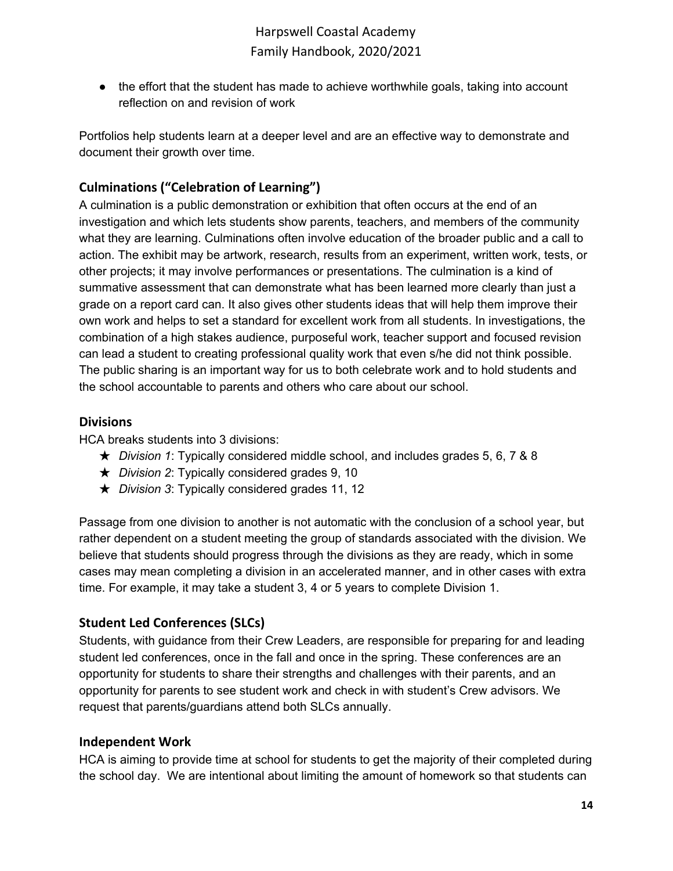• the effort that the student has made to achieve worthwhile goals, taking into account reflection on and revision of work

Portfolios help students learn at a deeper level and are an effective way to demonstrate and document their growth over time.

## <span id="page-13-0"></span>**Culminations ("Celebration of Learning")**

A culmination is a public demonstration or exhibition that often occurs at the end of an investigation and which lets students show parents, teachers, and members of the community what they are learning. Culminations often involve education of the broader public and a call to action. The exhibit may be artwork, research, results from an experiment, written work, tests, or other projects; it may involve performances or presentations. The culmination is a kind of summative assessment that can demonstrate what has been learned more clearly than just a grade on a report card can. It also gives other students ideas that will help them improve their own work and helps to set a standard for excellent work from all students. In investigations, the combination of a high stakes audience, purposeful work, teacher support and focused revision can lead a student to creating professional quality work that even s/he did not think possible. The public sharing is an important way for us to both celebrate work and to hold students and the school accountable to parents and others who care about our school.

### <span id="page-13-1"></span>**Divisions**

HCA breaks students into 3 divisions:

- ★ *Division 1*: Typically considered middle school, and includes grades 5, 6, 7 & 8
- ★ *Division 2*: Typically considered grades 9, 10
- ★ *Division 3*: Typically considered grades 11, 12

Passage from one division to another is not automatic with the conclusion of a school year, but rather dependent on a student meeting the group of standards associated with the division. We believe that students should progress through the divisions as they are ready, which in some cases may mean completing a division in an accelerated manner, and in other cases with extra time. For example, it may take a student 3, 4 or 5 years to complete Division 1.

## <span id="page-13-2"></span>**Student Led Conferences (SLCs)**

Students, with guidance from their Crew Leaders, are responsible for preparing for and leading student led conferences, once in the fall and once in the spring. These conferences are an opportunity for students to share their strengths and challenges with their parents, and an opportunity for parents to see student work and check in with student's Crew advisors. We request that parents/guardians attend both SLCs annually.

### <span id="page-13-3"></span>**Independent Work**

HCA is aiming to provide time at school for students to get the majority of their completed during the school day. We are intentional about limiting the amount of homework so that students can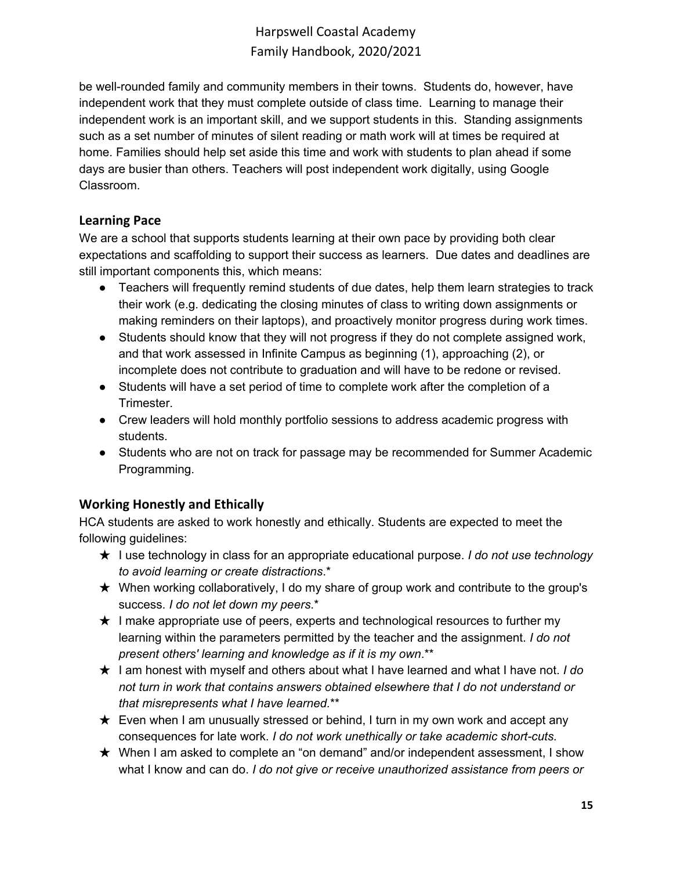be well-rounded family and community members in their towns. Students do, however, have independent work that they must complete outside of class time. Learning to manage their independent work is an important skill, and we support students in this. Standing assignments such as a set number of minutes of silent reading or math work will at times be required at home. Families should help set aside this time and work with students to plan ahead if some days are busier than others. Teachers will post independent work digitally, using Google Classroom.

## <span id="page-14-0"></span>**Learning Pace**

We are a school that supports students learning at their own pace by providing both clear expectations and scaffolding to support their success as learners. Due dates and deadlines are still important components this, which means:

- Teachers will frequently remind students of due dates, help them learn strategies to track their work (e.g. dedicating the closing minutes of class to writing down assignments or making reminders on their laptops), and proactively monitor progress during work times.
- Students should know that they will not progress if they do not complete assigned work, and that work assessed in Infinite Campus as beginning (1), approaching (2), or incomplete does not contribute to graduation and will have to be redone or revised.
- Students will have a set period of time to complete work after the completion of a Trimester.
- Crew leaders will hold monthly portfolio sessions to address academic progress with students.
- Students who are not on track for passage may be recommended for Summer Academic Programming.

## <span id="page-14-1"></span>**Working Honestly and Ethically**

HCA students are asked to work honestly and ethically. Students are expected to meet the following guidelines:

- ★ I use technology in class for an appropriate educational purpose. *I do not use technology to avoid learning or create distractions*.\*
- $\star$  When working collaboratively, I do my share of group work and contribute to the group's success. *I do not let down my peers*.\*
- $\star$  I make appropriate use of peers, experts and technological resources to further my learning within the parameters permitted by the teacher and the assignment. *I do not present others' learning and knowledge as if it is my own*.\*\*
- ★ I am honest with myself and others about what I have learned and what I have not. *I do not turn in work that contains answers obtained elsewhere that I do not understand or that misrepresents what I have learned.*\*\*
- $\star$  Even when I am unusually stressed or behind, I turn in my own work and accept any consequences for late work. *I do not work unethically or take academic short-cuts.*
- ★ When I am asked to complete an "on demand" and/or independent assessment, I show what I know and can do. *I do not give or receive unauthorized assistance from peers or*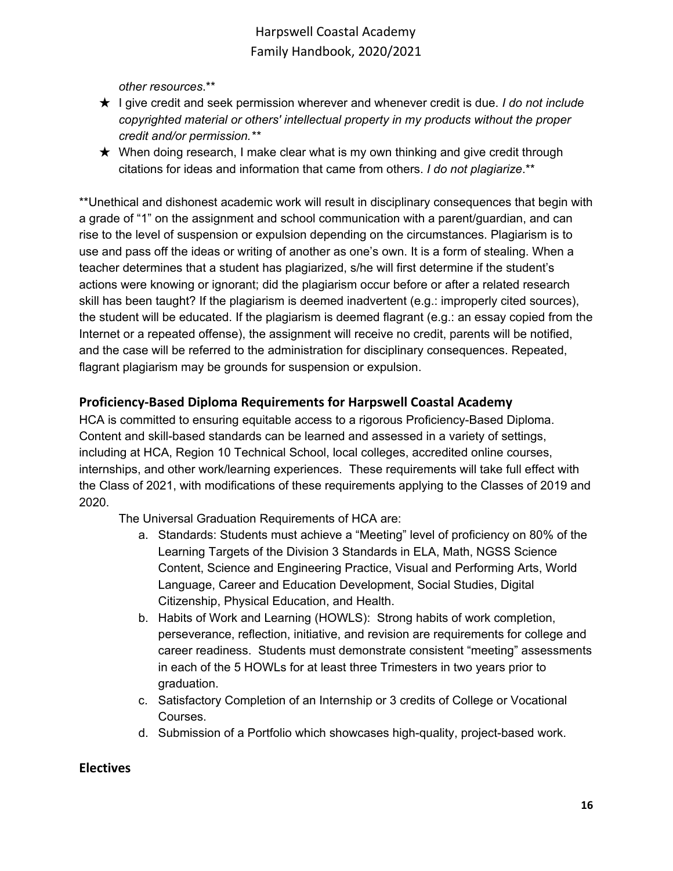*other resources*.\*\*

- ★ I give credit and seek permission wherever and whenever credit is due. *I do not include copyrighted material or others' intellectual property in my products without the proper credit and/or permission.\*\**
- $\star$  When doing research, I make clear what is my own thinking and give credit through citations for ideas and information that came from others. *I do not plagiarize*.\*\*

\*\*Unethical and dishonest academic work will result in disciplinary consequences that begin with a grade of "1" on the assignment and school communication with a parent/guardian, and can rise to the level of suspension or expulsion depending on the circumstances. Plagiarism is to use and pass off the ideas or writing of another as one's own. It is a form of stealing. When a teacher determines that a student has plagiarized, s/he will first determine if the student's actions were knowing or ignorant; did the plagiarism occur before or after a related research skill has been taught? If the plagiarism is deemed inadvertent (e.g.: improperly cited sources), the student will be educated. If the plagiarism is deemed flagrant (e.g.: an essay copied from the Internet or a repeated offense), the assignment will receive no credit, parents will be notified, and the case will be referred to the administration for disciplinary consequences. Repeated, flagrant plagiarism may be grounds for suspension or expulsion.

## <span id="page-15-0"></span>**Proficiency-Based Diploma Requirements for Harpswell Coastal Academy**

HCA is committed to ensuring equitable access to a rigorous Proficiency-Based Diploma. Content and skill-based standards can be learned and assessed in a variety of settings, including at HCA, Region 10 Technical School, local colleges, accredited online courses, internships, and other work/learning experiences. These requirements will take full effect with the Class of 2021, with modifications of these requirements applying to the Classes of 2019 and 2020.

The Universal Graduation Requirements of HCA are:

- a. Standards: Students must achieve a "Meeting" level of proficiency on 80% of the Learning Targets of the Division 3 Standards in ELA, Math, NGSS Science Content, Science and Engineering Practice, Visual and Performing Arts, World Language, Career and Education Development, Social Studies, Digital Citizenship, Physical Education, and Health.
- b. Habits of Work and Learning (HOWLS): Strong habits of work completion, perseverance, reflection, initiative, and revision are requirements for college and career readiness. Students must demonstrate consistent "meeting" assessments in each of the 5 HOWLs for at least three Trimesters in two years prior to graduation.
- c. Satisfactory Completion of an Internship or 3 credits of College or Vocational Courses.
- d. Submission of a Portfolio which showcases high-quality, project-based work.

### <span id="page-15-1"></span>**Electives**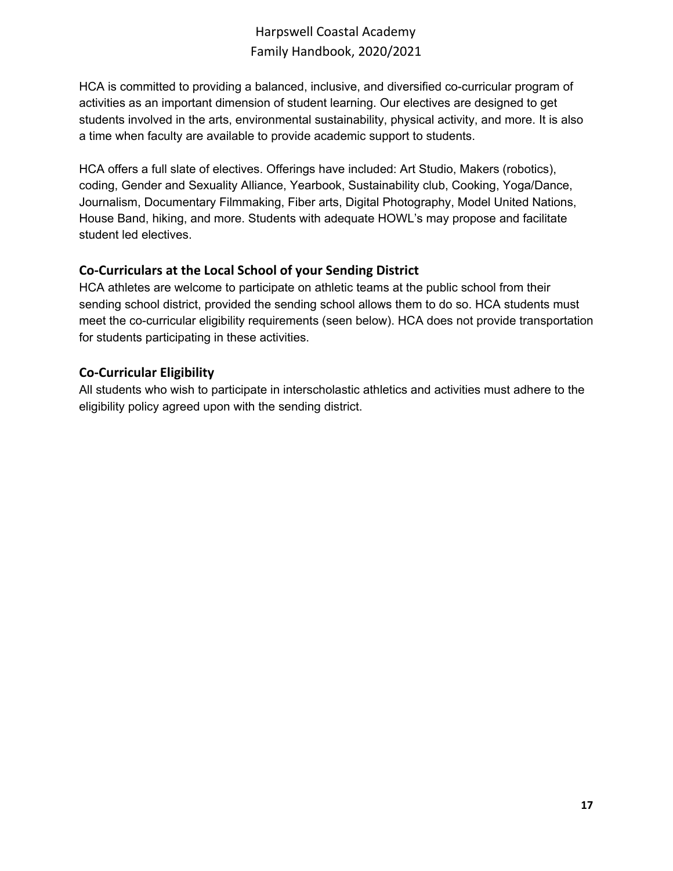HCA is committed to providing a balanced, inclusive, and diversified co-curricular program of activities as an important dimension of student learning. Our electives are designed to get students involved in the arts, environmental sustainability, physical activity, and more. It is also a time when faculty are available to provide academic support to students.

HCA offers a full slate of electives. Offerings have included: Art Studio, Makers (robotics), coding, Gender and Sexuality Alliance, Yearbook, Sustainability club, Cooking, Yoga/Dance, Journalism, Documentary Filmmaking, Fiber arts, Digital Photography, Model United Nations, House Band, hiking, and more. Students with adequate HOWL's may propose and facilitate student led electives.

## <span id="page-16-0"></span>**Co-Curriculars at the Local School of your Sending District**

HCA athletes are welcome to participate on athletic teams at the public school from their sending school district, provided the sending school allows them to do so. HCA students must meet the co-curricular eligibility requirements (seen below). HCA does not provide transportation for students participating in these activities.

## <span id="page-16-1"></span>**Co-Curricular Eligibility**

All students who wish to participate in interscholastic athletics and activities must adhere to the eligibility policy agreed upon with the sending district.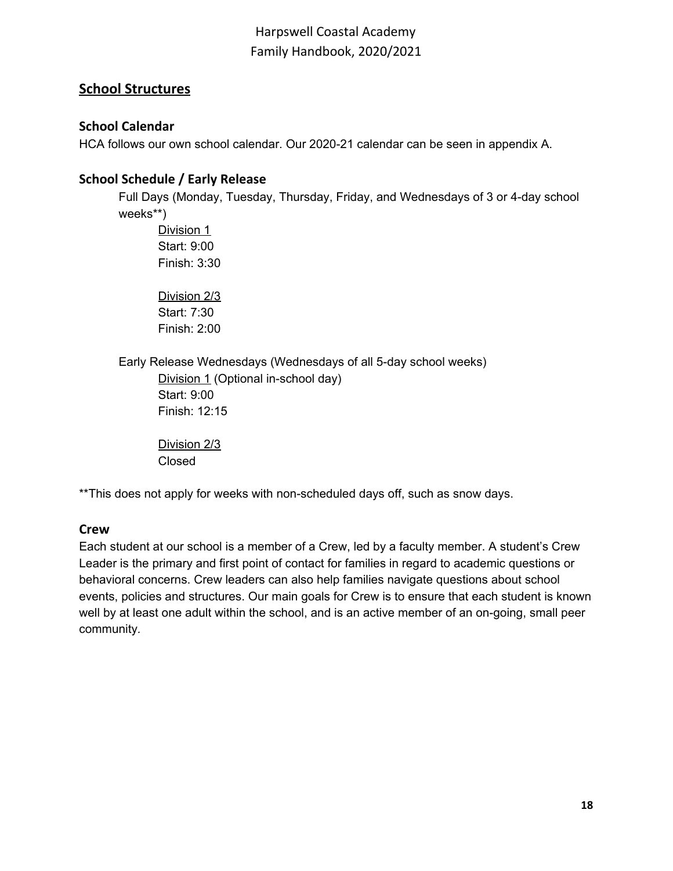## <span id="page-17-0"></span>**School Structures**

### <span id="page-17-1"></span>**School Calendar**

HCA follows our own school calendar. Our 2020-21 calendar can be seen in appendix A.

## <span id="page-17-2"></span>**School Schedule / Early Release**

Full Days (Monday, Tuesday, Thursday, Friday, and Wednesdays of 3 or 4-day school weeks\*\*)

Division 1 Start: 9:00 Finish: 3:30

Division 2/3 Start: 7:30 Finish: 2:00

Early Release Wednesdays (Wednesdays of all 5-day school weeks)

Division 1 (Optional in-school day) Start: 9:00 Finish: 12:15

Division 2/3 Closed

\*\*This does not apply for weeks with non-scheduled days off, such as snow days.

### <span id="page-17-3"></span>**Crew**

Each student at our school is a member of a Crew, led by a faculty member. A student's Crew Leader is the primary and first point of contact for families in regard to academic questions or behavioral concerns. Crew leaders can also help families navigate questions about school events, policies and structures. Our main goals for Crew is to ensure that each student is known well by at least one adult within the school, and is an active member of an on-going, small peer community*.*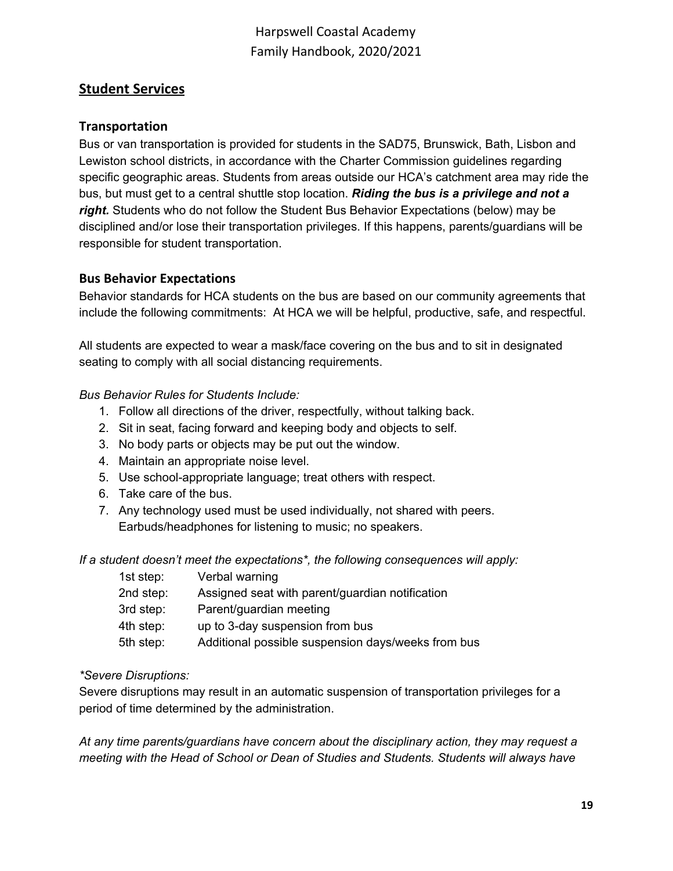## <span id="page-18-0"></span>**Student Services**

#### <span id="page-18-1"></span>**Transportation**

Bus or van transportation is provided for students in the SAD75, Brunswick, Bath, Lisbon and Lewiston school districts, in accordance with the Charter Commission guidelines regarding specific geographic areas. Students from areas outside our HCA's catchment area may ride the bus, but must get to a central shuttle stop location. *Riding the bus is a privilege and not a right.* Students who do not follow the Student Bus Behavior Expectations (below) may be disciplined and/or lose their transportation privileges. If this happens, parents/guardians will be responsible for student transportation.

#### <span id="page-18-2"></span>**Bus Behavior Expectations**

Behavior standards for HCA students on the bus are based on our community agreements that include the following commitments: At HCA we will be helpful, productive, safe, and respectful.

All students are expected to wear a mask/face covering on the bus and to sit in designated seating to comply with all social distancing requirements.

#### *Bus Behavior Rules for Students Include:*

- 1. Follow all directions of the driver, respectfully, without talking back.
- 2. Sit in seat, facing forward and keeping body and objects to self.
- 3. No body parts or objects may be put out the window.
- 4. Maintain an appropriate noise level.
- 5. Use school-appropriate language; treat others with respect.
- 6. Take care of the bus.
- 7. Any technology used must be used individually, not shared with peers. Earbuds/headphones for listening to music; no speakers.

*If a student doesn't meet the expectations\*, the following consequences will apply:*

| 1st step: | Verbal warning                                     |
|-----------|----------------------------------------------------|
| 2nd step: | Assigned seat with parent/guardian notification    |
| 3rd step: | Parent/guardian meeting                            |
| 4th step: | up to 3-day suspension from bus                    |
| 5th step: | Additional possible suspension days/weeks from bus |
|           |                                                    |

#### *\*Severe Disruptions:*

Severe disruptions may result in an automatic suspension of transportation privileges for a period of time determined by the administration.

*At any time parents/guardians have concern about the disciplinary action, they may request a meeting with the Head of School or Dean of Studies and Students. Students will always have*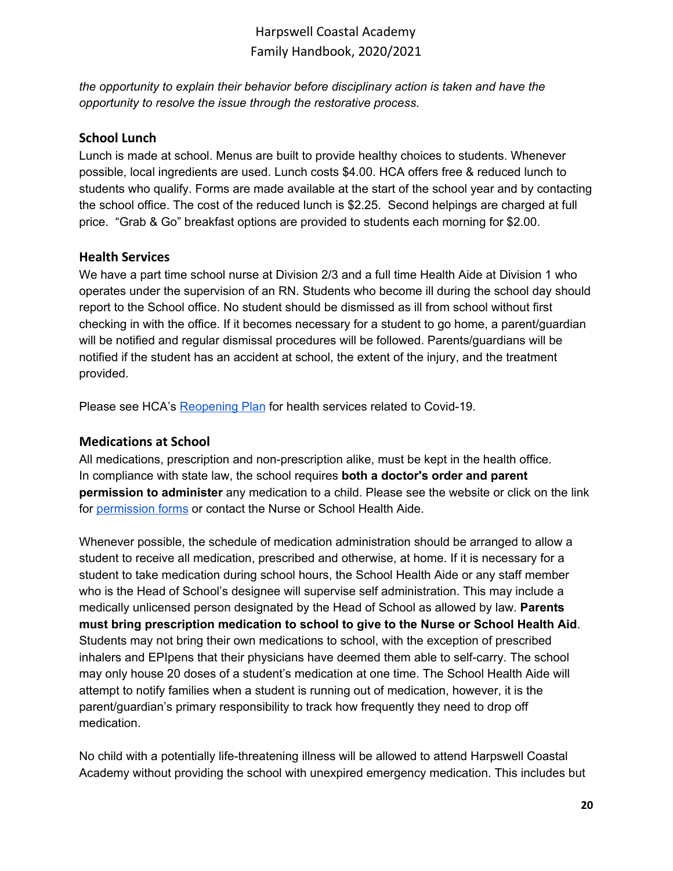*the opportunity to explain their behavior before disciplinary action is taken and have the opportunity to resolve the issue through the restorative process.*

### <span id="page-19-0"></span>**School Lunch**

Lunch is made at school. Menus are built to provide healthy choices to students. Whenever possible, local ingredients are used. Lunch costs \$4.00. HCA offers free & reduced lunch to students who qualify. Forms are made available at the start of the school year and by contacting the school office. The cost of the reduced lunch is \$2.25. Second helpings are charged at full price. "Grab & Go" breakfast options are provided to students each morning for \$2.00.

### <span id="page-19-1"></span>**Health Services**

We have a part time school nurse at Division 2/3 and a full time Health Aide at Division 1 who operates under the supervision of an RN. Students who become ill during the school day should report to the School office. No student should be dismissed as ill from school without first checking in with the office. If it becomes necessary for a student to go home, a parent/guardian will be notified and regular dismissal procedures will be followed. Parents/guardians will be notified if the student has an accident at school, the extent of the injury, and the treatment provided.

Please see HCA's [Reopening](https://harpswellcoastalacademy.org/wp-content/uploads/2020/08/HCA-Reopening-Plan-7aug20.pdf) Plan for health services related to Covid-19.

### <span id="page-19-2"></span>**Medications at School**

All medications, prescription and non-prescription alike, must be kept in the health office. In compliance with state law, the school requires **both a doctor's order and parent permission to administer** any medication to a child. Please see the website or click on the link for [permission](https://docs.google.com/document/d/1M92NHbNPCsbOaCMoNrBh7q9Td_GqwDi1t77ApGjUMC4/edit?usp=sharing) forms or contact the Nurse or School Health Aide.

Whenever possible, the schedule of medication administration should be arranged to allow a student to receive all medication, prescribed and otherwise, at home. If it is necessary for a student to take medication during school hours, the School Health Aide or any staff member who is the Head of School's designee will supervise self administration. This may include a medically unlicensed person designated by the Head of School as allowed by law. **Parents must bring prescription medication to school to give to the Nurse or School Health Aid**. Students may not bring their own medications to school, with the exception of prescribed inhalers and EPIpens that their physicians have deemed them able to self-carry. The school may only house 20 doses of a student's medication at one time. The School Health Aide will attempt to notify families when a student is running out of medication, however, it is the parent/guardian's primary responsibility to track how frequently they need to drop off medication.

No child with a potentially life-threatening illness will be allowed to attend Harpswell Coastal Academy without providing the school with unexpired emergency medication. This includes but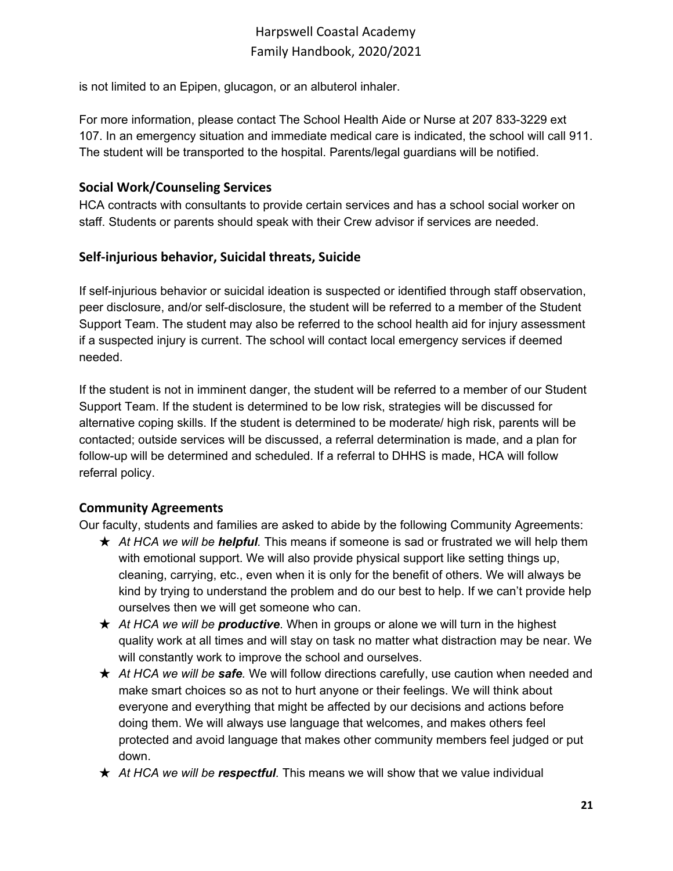is not limited to an Epipen, glucagon, or an albuterol inhaler.

For more information, please contact The School Health Aide or Nurse at 207 833-3229 ext 107. In an emergency situation and immediate medical care is indicated, the school will call 911. The student will be transported to the hospital. Parents/legal guardians will be notified.

### <span id="page-20-0"></span>**Social Work/Counseling Services**

HCA contracts with consultants to provide certain services and has a school social worker on staff. Students or parents should speak with their Crew advisor if services are needed.

## <span id="page-20-1"></span>**Self-injurious behavior, Suicidal threats, Suicide**

If self-injurious behavior or suicidal ideation is suspected or identified through staff observation, peer disclosure, and/or self-disclosure, the student will be referred to a member of the Student Support Team. The student may also be referred to the school health aid for injury assessment if a suspected injury is current. The school will contact local emergency services if deemed needed.

If the student is not in imminent danger, the student will be referred to a member of our Student Support Team. If the student is determined to be low risk, strategies will be discussed for alternative coping skills. If the student is determined to be moderate/ high risk, parents will be contacted; outside services will be discussed, a referral determination is made, and a plan for follow-up will be determined and scheduled. If a referral to DHHS is made, HCA will follow referral policy.

## <span id="page-20-2"></span>**Community Agreements**

Our faculty, students and families are asked to abide by the following Community Agreements:

- ★ *At HCA we will be helpful.* This means if someone is sad or frustrated we will help them with emotional support. We will also provide physical support like setting things up, cleaning, carrying, etc., even when it is only for the benefit of others. We will always be kind by trying to understand the problem and do our best to help. If we can't provide help ourselves then we will get someone who can.
- ★ *At HCA we will be productive*. When in groups or alone we will turn in the highest quality work at all times and will stay on task no matter what distraction may be near. We will constantly work to improve the school and ourselves.
- ★ *At HCA we will be safe.* We will follow directions carefully, use caution when needed and make smart choices so as not to hurt anyone or their feelings. We will think about everyone and everything that might be affected by our decisions and actions before doing them. We will always use language that welcomes, and makes others feel protected and avoid language that makes other community members feel judged or put down.
- ★ *At HCA we will be respectful.* This means we will show that we value individual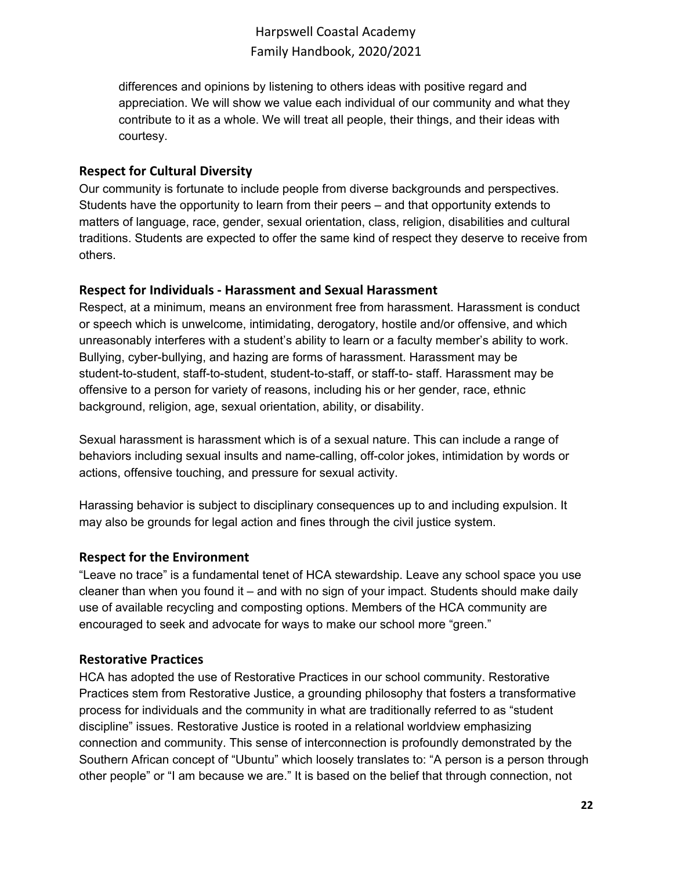differences and opinions by listening to others ideas with positive regard and appreciation. We will show we value each individual of our community and what they contribute to it as a whole. We will treat all people, their things, and their ideas with courtesy.

### <span id="page-21-0"></span>**Respect for Cultural Diversity**

Our community is fortunate to include people from diverse backgrounds and perspectives. Students have the opportunity to learn from their peers – and that opportunity extends to matters of language, race, gender, sexual orientation, class, religion, disabilities and cultural traditions. Students are expected to offer the same kind of respect they deserve to receive from others.

#### <span id="page-21-1"></span>**Respect for Individuals - Harassment and Sexual Harassment**

Respect, at a minimum, means an environment free from harassment. Harassment is conduct or speech which is unwelcome, intimidating, derogatory, hostile and/or offensive, and which unreasonably interferes with a student's ability to learn or a faculty member's ability to work. Bullying, cyber-bullying, and hazing are forms of harassment. Harassment may be student-to-student, staff-to-student, student-to-staff, or staff-to- staff. Harassment may be offensive to a person for variety of reasons, including his or her gender, race, ethnic background, religion, age, sexual orientation, ability, or disability.

Sexual harassment is harassment which is of a sexual nature. This can include a range of behaviors including sexual insults and name-calling, off-color jokes, intimidation by words or actions, offensive touching, and pressure for sexual activity.

Harassing behavior is subject to disciplinary consequences up to and including expulsion. It may also be grounds for legal action and fines through the civil justice system.

### <span id="page-21-2"></span>**Respect for the Environment**

"Leave no trace" is a fundamental tenet of HCA stewardship. Leave any school space you use cleaner than when you found it – and with no sign of your impact. Students should make daily use of available recycling and composting options. Members of the HCA community are encouraged to seek and advocate for ways to make our school more "green."

#### <span id="page-21-3"></span>**Restorative Practices**

HCA has adopted the use of Restorative Practices in our school community. Restorative Practices stem from Restorative Justice, a grounding philosophy that fosters a transformative process for individuals and the community in what are traditionally referred to as "student discipline" issues. Restorative Justice is rooted in a relational worldview emphasizing connection and community. This sense of interconnection is profoundly demonstrated by the Southern African concept of "Ubuntu" which loosely translates to: "A person is a person through other people" or "I am because we are." It is based on the belief that through connection, not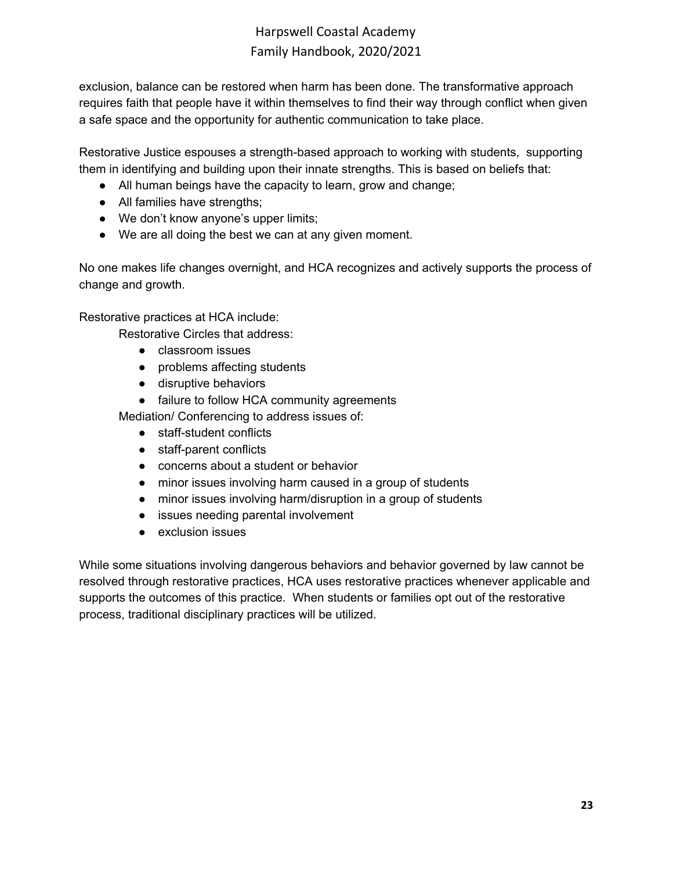exclusion, balance can be restored when harm has been done. The transformative approach requires faith that people have it within themselves to find their way through conflict when given a safe space and the opportunity for authentic communication to take place.

Restorative Justice espouses a strength-based approach to working with students, supporting them in identifying and building upon their innate strengths. This is based on beliefs that:

- All human beings have the capacity to learn, grow and change;
- All families have strengths;
- We don't know anyone's upper limits;
- We are all doing the best we can at any given moment.

No one makes life changes overnight, and HCA recognizes and actively supports the process of change and growth.

Restorative practices at HCA include:

Restorative Circles that address:

- classroom issues
- problems affecting students
- disruptive behaviors
- failure to follow HCA community agreements

Mediation/ Conferencing to address issues of:

- staff-student conflicts
- staff-parent conflicts
- concerns about a student or behavior
- minor issues involving harm caused in a group of students
- minor issues involving harm/disruption in a group of students
- issues needing parental involvement
- exclusion issues

While some situations involving dangerous behaviors and behavior governed by law cannot be resolved through restorative practices, HCA uses restorative practices whenever applicable and supports the outcomes of this practice. When students or families opt out of the restorative process, traditional disciplinary practices will be utilized.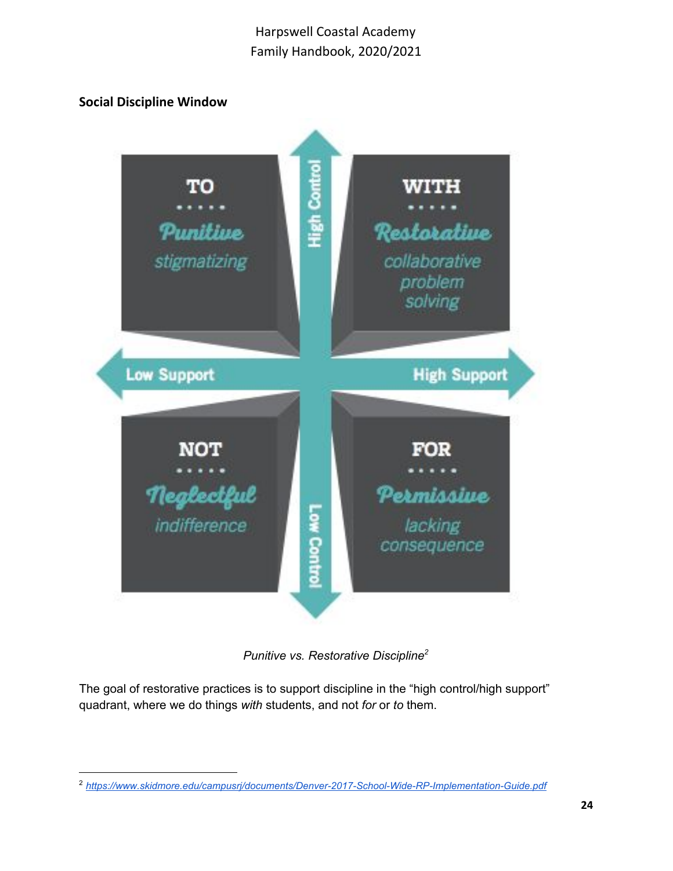## <span id="page-23-0"></span>**Social Discipline Window**



*Punitive vs. Restorative Discipline 2*

The goal of restorative practices is to support discipline in the "high control/high support" quadrant, where we do things *with* students, and not *for* or *to* them.

<sup>2</sup> *<https://www.skidmore.edu/campusrj/documents/Denver-2017-School-Wide-RP-Implementation-Guide.pdf>*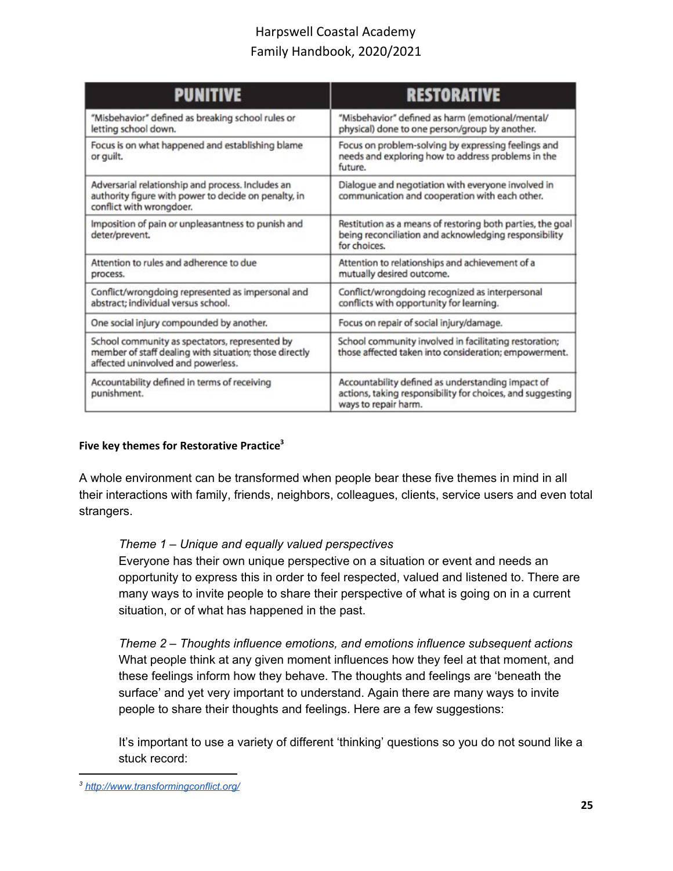| <b>PUNITIVE</b>                                                                                                                                | <b>RESTORATIVE</b>                                                                                                                      |
|------------------------------------------------------------------------------------------------------------------------------------------------|-----------------------------------------------------------------------------------------------------------------------------------------|
| "Misbehavior" defined as breaking school rules or<br>letting school down.                                                                      | "Misbehavior" defined as harm (emotional/mental/<br>physical) done to one person/group by another.                                      |
| Focus is on what happened and establishing blame<br>or guilt.                                                                                  | Focus on problem-solving by expressing feelings and<br>needs and exploring how to address problems in the<br>future.                    |
| Adversarial relationship and process. Includes an<br>authority figure with power to decide on penalty, in<br>conflict with wrongdoer.          | Dialogue and negotiation with everyone involved in<br>communication and cooperation with each other.                                    |
| Imposition of pain or unpleasantness to punish and<br>deter/prevent.                                                                           | Restitution as a means of restoring both parties, the goal<br>being reconciliation and acknowledging responsibility<br>for choices.     |
| Attention to rules and adherence to due<br>process.                                                                                            | Attention to relationships and achievement of a<br>mutually desired outcome.                                                            |
| Conflict/wrongdoing represented as impersonal and<br>abstract; individual versus school.                                                       | Conflict/wrongdoing recognized as interpersonal<br>conflicts with opportunity for learning.                                             |
| One social injury compounded by another.                                                                                                       | Focus on repair of social injury/damage.                                                                                                |
| School community as spectators, represented by<br>member of staff dealing with situation; those directly<br>affected uninvolved and powerless. | School community involved in facilitating restoration;<br>those affected taken into consideration; empowerment.                         |
| Accountability defined in terms of receiving<br>punishment.                                                                                    | Accountability defined as understanding impact of<br>actions, taking responsibility for choices, and suggesting<br>ways to repair harm. |

#### <span id="page-24-0"></span>**Five key themes for Restorative Practice 3**

A whole environment can be transformed when people bear these five themes in mind in all their interactions with family, friends, neighbors, colleagues, clients, service users and even total strangers.

#### *Theme 1 – Unique and equally valued perspectives*

Everyone has their own unique perspective on a situation or event and needs an opportunity to express this in order to feel respected, valued and listened to. There are many ways to invite people to share their perspective of what is going on in a current situation, or of what has happened in the past.

*Theme 2 – Thoughts influence emotions, and emotions influence subsequent actions* What people think at any given moment influences how they feel at that moment, and these feelings inform how they behave. The thoughts and feelings are 'beneath the surface' and yet very important to understand. Again there are many ways to invite people to share their thoughts and feelings. Here are a few suggestions:

It's important to use a variety of different 'thinking' questions so you do not sound like a stuck record:

*<sup>3</sup> <http://www.transformingconflict.org/>*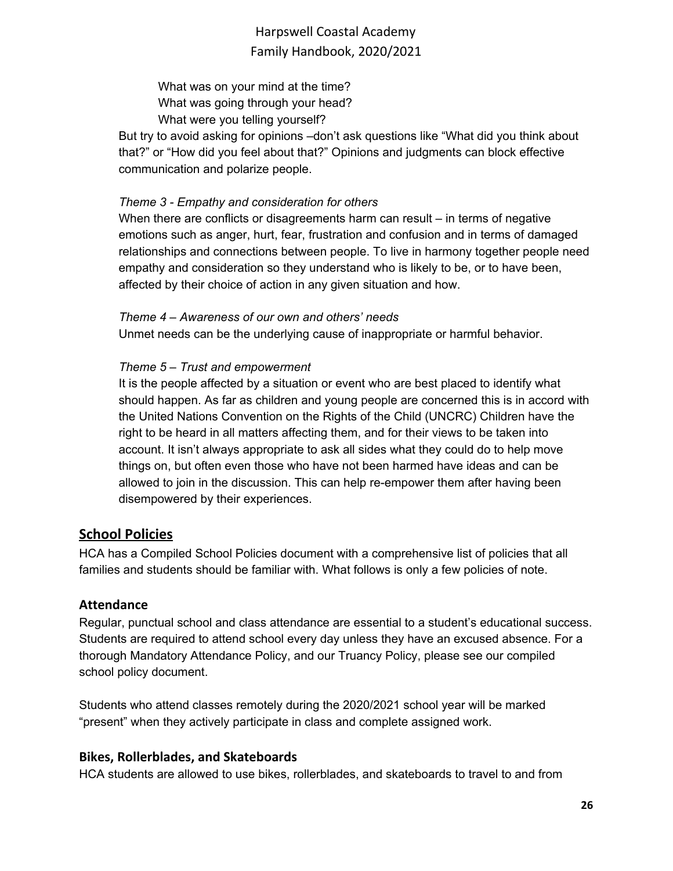What was on your mind at the time? What was going through your head? What were you telling yourself?

But try to avoid asking for opinions –don't ask questions like "What did you think about that?" or "How did you feel about that?" Opinions and judgments can block effective communication and polarize people.

### *Theme 3 - Empathy and consideration for others*

When there are conflicts or disagreements harm can result – in terms of negative emotions such as anger, hurt, fear, frustration and confusion and in terms of damaged relationships and connections between people. To live in harmony together people need empathy and consideration so they understand who is likely to be, or to have been, affected by their choice of action in any given situation and how.

### *Theme 4 – Awareness of our own and others' needs*

Unmet needs can be the underlying cause of inappropriate or harmful behavior.

### *Theme 5 – Trust and empowerment*

It is the people affected by a situation or event who are best placed to identify what should happen. As far as children and young people are concerned this is in accord with the United Nations Convention on the Rights of the Child (UNCRC) Children have the right to be heard in all matters affecting them, and for their views to be taken into account. It isn't always appropriate to ask all sides what they could do to help move things on, but often even those who have not been harmed have ideas and can be allowed to join in the discussion. This can help re-empower them after having been disempowered by their experiences.

## <span id="page-25-0"></span>**School Policies**

HCA has a Compiled School Policies document with a comprehensive list of policies that all families and students should be familiar with. What follows is only a few policies of note.

### <span id="page-25-1"></span>**Attendance**

Regular, punctual school and class attendance are essential to a student's educational success. Students are required to attend school every day unless they have an excused absence. For a thorough Mandatory Attendance Policy, and our Truancy Policy, please see our compiled school policy document.

Students who attend classes remotely during the 2020/2021 school year will be marked "present" when they actively participate in class and complete assigned work.

### <span id="page-25-2"></span>**Bikes, Rollerblades, and Skateboards**

HCA students are allowed to use bikes, rollerblades, and skateboards to travel to and from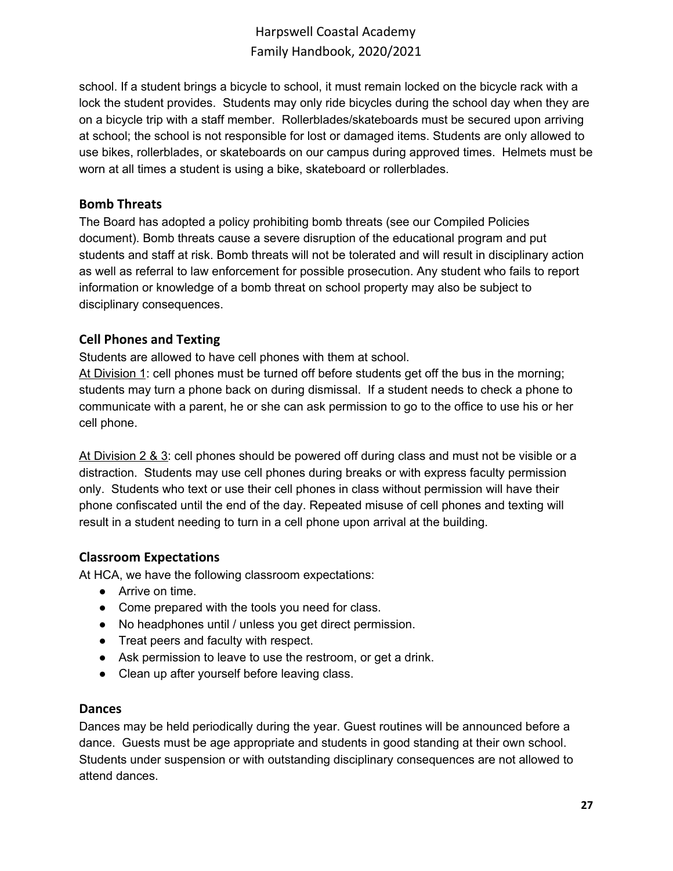school. If a student brings a bicycle to school, it must remain locked on the bicycle rack with a lock the student provides. Students may only ride bicycles during the school day when they are on a bicycle trip with a staff member. Rollerblades/skateboards must be secured upon arriving at school; the school is not responsible for lost or damaged items. Students are only allowed to use bikes, rollerblades, or skateboards on our campus during approved times. Helmets must be worn at all times a student is using a bike, skateboard or rollerblades.

#### <span id="page-26-0"></span>**Bomb Threats**

The Board has adopted a policy prohibiting bomb threats (see our Compiled Policies document). Bomb threats cause a severe disruption of the educational program and put students and staff at risk. Bomb threats will not be tolerated and will result in disciplinary action as well as referral to law enforcement for possible prosecution. Any student who fails to report information or knowledge of a bomb threat on school property may also be subject to disciplinary consequences.

### <span id="page-26-1"></span>**Cell Phones and Texting**

Students are allowed to have cell phones with them at school.

At Division 1: cell phones must be turned off before students get off the bus in the morning; students may turn a phone back on during dismissal. If a student needs to check a phone to communicate with a parent, he or she can ask permission to go to the office to use his or her cell phone.

At Division 2 & 3: cell phones should be powered off during class and must not be visible or a distraction. Students may use cell phones during breaks or with express faculty permission only. Students who text or use their cell phones in class without permission will have their phone confiscated until the end of the day. Repeated misuse of cell phones and texting will result in a student needing to turn in a cell phone upon arrival at the building.

### <span id="page-26-2"></span>**Classroom Expectations**

At HCA, we have the following classroom expectations:

- Arrive on time.
- Come prepared with the tools you need for class.
- No headphones until / unless you get direct permission.
- Treat peers and faculty with respect.
- Ask permission to leave to use the restroom, or get a drink.
- Clean up after yourself before leaving class.

#### <span id="page-26-3"></span>**Dances**

Dances may be held periodically during the year. Guest routines will be announced before a dance. Guests must be age appropriate and students in good standing at their own school. Students under suspension or with outstanding disciplinary consequences are not allowed to attend dances.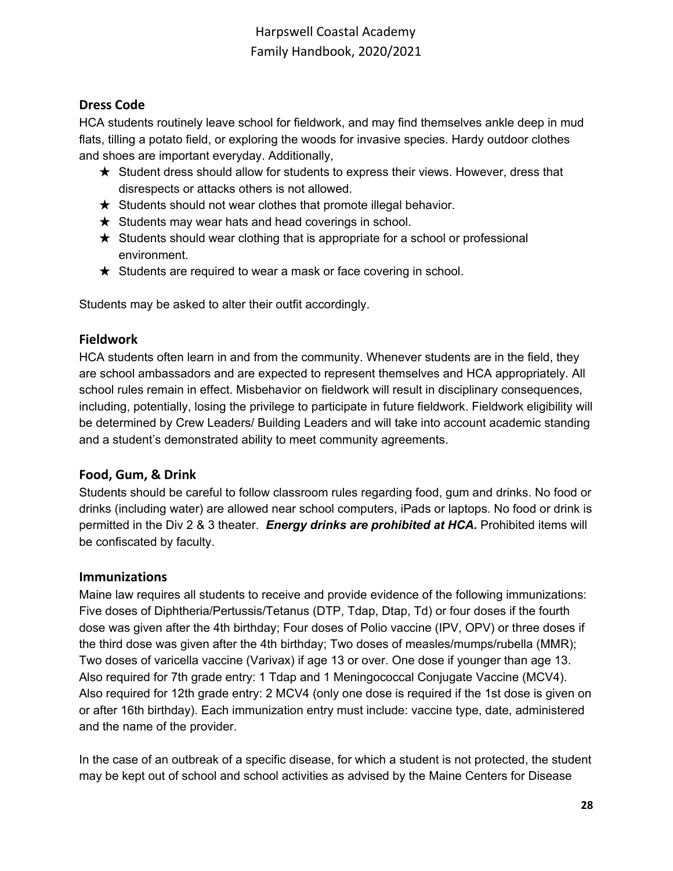## <span id="page-27-0"></span>**Dress Code**

HCA students routinely leave school for fieldwork, and may find themselves ankle deep in mud flats, tilling a potato field, or exploring the woods for invasive species. Hardy outdoor clothes and shoes are important everyday. Additionally,

- ★ Student dress should allow for students to express their views. However, dress that disrespects or attacks others is not allowed.
- $\star$  Students should not wear clothes that promote illegal behavior.
- $\star$  Students may wear hats and head coverings in school.
- $\star$  Students should wear clothing that is appropriate for a school or professional environment.
- ★ Students are required to wear a mask or face covering in school.

Students may be asked to alter their outfit accordingly.

## <span id="page-27-1"></span>**Fieldwork**

HCA students often learn in and from the community. Whenever students are in the field, they are school ambassadors and are expected to represent themselves and HCA appropriately. All school rules remain in effect. Misbehavior on fieldwork will result in disciplinary consequences, including, potentially, losing the privilege to participate in future fieldwork. Fieldwork eligibility will be determined by Crew Leaders/ Building Leaders and will take into account academic standing and a student's demonstrated ability to meet community agreements.

### <span id="page-27-2"></span>**Food, Gum, & Drink**

Students should be careful to follow classroom rules regarding food, gum and drinks. No food or drinks (including water) are allowed near school computers, iPads or laptops. No food or drink is permitted in the Div 2 & 3 theater. *Energy drinks are prohibited at HCA.* Prohibited items will be confiscated by faculty.

### <span id="page-27-3"></span>**Immunizations**

Maine law requires all students to receive and provide evidence of the following immunizations: Five doses of Diphtheria/Pertussis/Tetanus (DTP, Tdap, Dtap, Td) or four doses if the fourth dose was given after the 4th birthday; Four doses of Polio vaccine (IPV, OPV) or three doses if the third dose was given after the 4th birthday; Two doses of measles/mumps/rubella (MMR); Two doses of varicella vaccine (Varivax) if age 13 or over. One dose if younger than age 13. Also required for 7th grade entry: 1 Tdap and 1 Meningococcal Conjugate Vaccine (MCV4). Also required for 12th grade entry: 2 MCV4 (only one dose is required if the 1st dose is given on or after 16th birthday). Each immunization entry must include: vaccine type, date, administered and the name of the provider.

In the case of an outbreak of a specific disease, for which a student is not protected, the student may be kept out of school and school activities as advised by the Maine Centers for Disease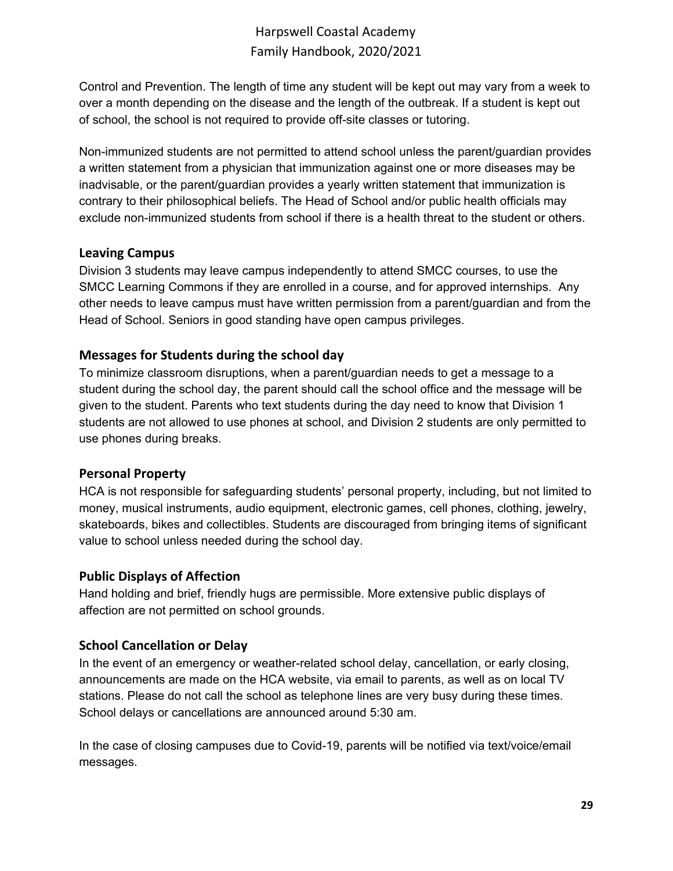Control and Prevention. The length of time any student will be kept out may vary from a week to over a month depending on the disease and the length of the outbreak. If a student is kept out of school, the school is not required to provide off-site classes or tutoring.

Non-immunized students are not permitted to attend school unless the parent/guardian provides a written statement from a physician that immunization against one or more diseases may be inadvisable, or the parent/guardian provides a yearly written statement that immunization is contrary to their philosophical beliefs. The Head of School and/or public health officials may exclude non-immunized students from school if there is a health threat to the student or others.

### <span id="page-28-0"></span>**Leaving Campus**

Division 3 students may leave campus independently to attend SMCC courses, to use the SMCC Learning Commons if they are enrolled in a course, and for approved internships. Any other needs to leave campus must have written permission from a parent/guardian and from the Head of School. Seniors in good standing have open campus privileges.

## <span id="page-28-1"></span>**Messages for Students during the school day**

To minimize classroom disruptions, when a parent/guardian needs to get a message to a student during the school day, the parent should call the school office and the message will be given to the student. Parents who text students during the day need to know that Division 1 students are not allowed to use phones at school, and Division 2 students are only permitted to use phones during breaks.

## <span id="page-28-2"></span>**Personal Property**

HCA is not responsible for safeguarding students' personal property, including, but not limited to money, musical instruments, audio equipment, electronic games, cell phones, clothing, jewelry, skateboards, bikes and collectibles. Students are discouraged from bringing items of significant value to school unless needed during the school day.

## <span id="page-28-3"></span>**Public Displays of Affection**

Hand holding and brief, friendly hugs are permissible. More extensive public displays of affection are not permitted on school grounds.

## <span id="page-28-4"></span>**School Cancellation or Delay**

In the event of an emergency or weather-related school delay, cancellation, or early closing, announcements are made on the HCA website, via email to parents, as well as on local TV stations. Please do not call the school as telephone lines are very busy during these times. School delays or cancellations are announced around 5:30 am.

In the case of closing campuses due to Covid-19, parents will be notified via text/voice/email messages.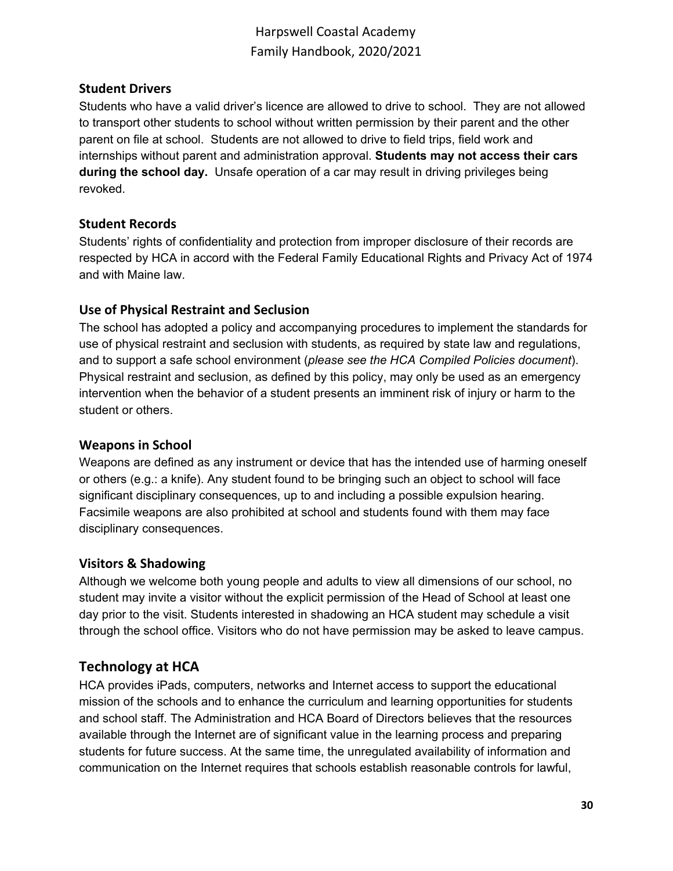### <span id="page-29-0"></span>**Student Drivers**

Students who have a valid driver's licence are allowed to drive to school. They are not allowed to transport other students to school without written permission by their parent and the other parent on file at school. Students are not allowed to drive to field trips, field work and internships without parent and administration approval. **Students may not access their cars during the school day.** Unsafe operation of a car may result in driving privileges being revoked.

### <span id="page-29-1"></span>**Student Records**

Students' rights of confidentiality and protection from improper disclosure of their records are respected by HCA in accord with the Federal Family Educational Rights and Privacy Act of 1974 and with Maine law.

### <span id="page-29-2"></span>**Use of Physical Restraint and Seclusion**

The school has adopted a policy and accompanying procedures to implement the standards for use of physical restraint and seclusion with students, as required by state law and regulations, and to support a safe school environment (*please see the HCA Compiled Policies document*). Physical restraint and seclusion, as defined by this policy, may only be used as an emergency intervention when the behavior of a student presents an imminent risk of injury or harm to the student or others.

### <span id="page-29-3"></span>**Weapons in School**

Weapons are defined as any instrument or device that has the intended use of harming oneself or others (e.g.: a knife). Any student found to be bringing such an object to school will face significant disciplinary consequences, up to and including a possible expulsion hearing. Facsimile weapons are also prohibited at school and students found with them may face disciplinary consequences.

#### <span id="page-29-4"></span>**Visitors & Shadowing**

Although we welcome both young people and adults to view all dimensions of our school, no student may invite a visitor without the explicit permission of the Head of School at least one day prior to the visit. Students interested in shadowing an HCA student may schedule a visit through the school office. Visitors who do not have permission may be asked to leave campus.

## <span id="page-29-5"></span>**Technology at HCA**

HCA provides iPads, computers, networks and Internet access to support the educational mission of the schools and to enhance the curriculum and learning opportunities for students and school staff. The Administration and HCA Board of Directors believes that the resources available through the Internet are of significant value in the learning process and preparing students for future success. At the same time, the unregulated availability of information and communication on the Internet requires that schools establish reasonable controls for lawful,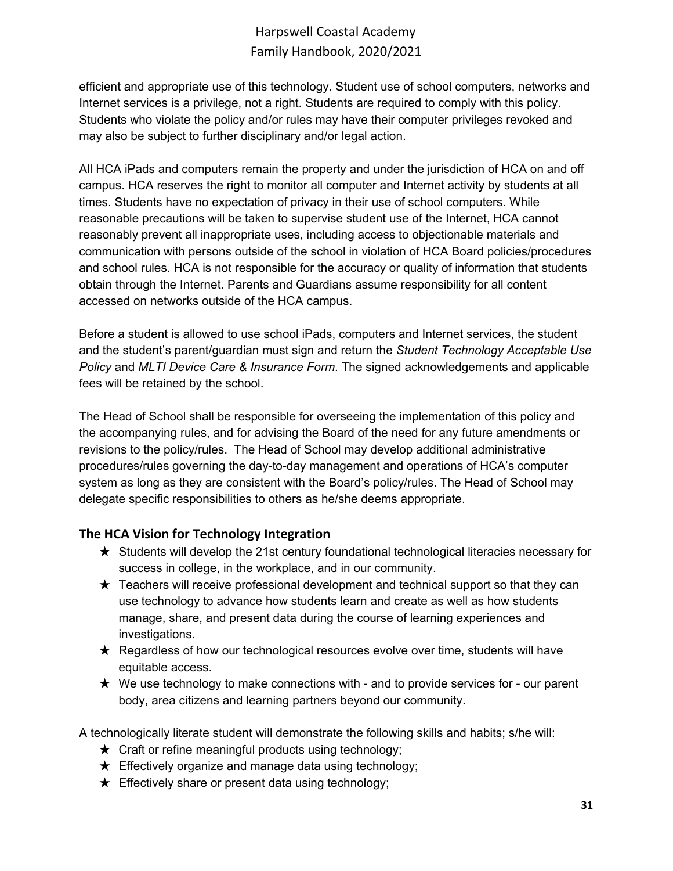efficient and appropriate use of this technology. Student use of school computers, networks and Internet services is a privilege, not a right. Students are required to comply with this policy. Students who violate the policy and/or rules may have their computer privileges revoked and may also be subject to further disciplinary and/or legal action.

All HCA iPads and computers remain the property and under the jurisdiction of HCA on and off campus. HCA reserves the right to monitor all computer and Internet activity by students at all times. Students have no expectation of privacy in their use of school computers. While reasonable precautions will be taken to supervise student use of the Internet, HCA cannot reasonably prevent all inappropriate uses, including access to objectionable materials and communication with persons outside of the school in violation of HCA Board policies/procedures and school rules. HCA is not responsible for the accuracy or quality of information that students obtain through the Internet. Parents and Guardians assume responsibility for all content accessed on networks outside of the HCA campus.

Before a student is allowed to use school iPads, computers and Internet services, the student and the student's parent/guardian must sign and return the *Student Technology Acceptable Use Policy* and *MLTI Device Care & Insurance Form*. The signed acknowledgements and applicable fees will be retained by the school.

The Head of School shall be responsible for overseeing the implementation of this policy and the accompanying rules, and for advising the Board of the need for any future amendments or revisions to the policy/rules. The Head of School may develop additional administrative procedures/rules governing the day-to-day management and operations of HCA's computer system as long as they are consistent with the Board's policy/rules. The Head of School may delegate specific responsibilities to others as he/she deems appropriate.

## <span id="page-30-0"></span>**The HCA Vision for Technology Integration**

- ★ Students will develop the 21st century foundational technological literacies necessary for success in college, in the workplace, and in our community.
- $\star$  Teachers will receive professional development and technical support so that they can use technology to advance how students learn and create as well as how students manage, share, and present data during the course of learning experiences and investigations.
- $\star$  Regardless of how our technological resources evolve over time, students will have equitable access.
- $\star$  We use technology to make connections with and to provide services for our parent body, area citizens and learning partners beyond our community.

A technologically literate student will demonstrate the following skills and habits; s/he will:

- $\star$  Craft or refine meaningful products using technology;
- $\star$  Effectively organize and manage data using technology;
- $\star$  Effectively share or present data using technology;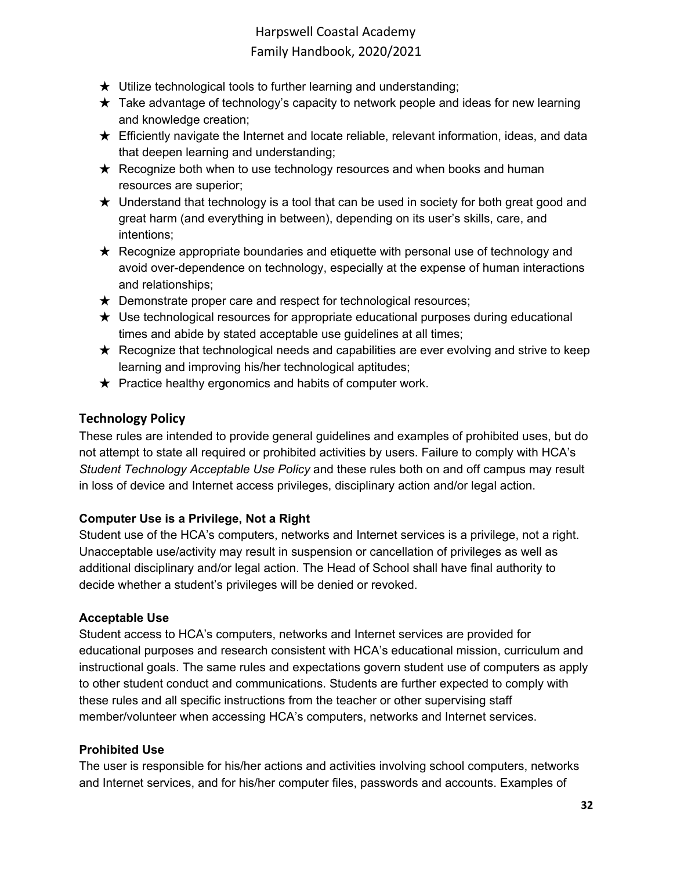- $\star$  Utilize technological tools to further learning and understanding;
- $\star$  Take advantage of technology's capacity to network people and ideas for new learning and knowledge creation;
- $\star$  Efficiently navigate the Internet and locate reliable, relevant information, ideas, and data that deepen learning and understanding;
- **★** Recognize both when to use technology resources and when books and human resources are superior;
- $\star$  Understand that technology is a tool that can be used in society for both great good and great harm (and everything in between), depending on its user's skills, care, and intentions;
- ★ Recognize appropriate boundaries and etiquette with personal use of technology and avoid over-dependence on technology, especially at the expense of human interactions and relationships;
- $\star$  Demonstrate proper care and respect for technological resources;
- $\star$  Use technological resources for appropriate educational purposes during educational times and abide by stated acceptable use guidelines at all times;
- $\star$  Recognize that technological needs and capabilities are ever evolving and strive to keep learning and improving his/her technological aptitudes;
- $\star$  Practice healthy ergonomics and habits of computer work.

## <span id="page-31-0"></span>**Technology Policy**

These rules are intended to provide general guidelines and examples of prohibited uses, but do not attempt to state all required or prohibited activities by users. Failure to comply with HCA's *Student Technology Acceptable Use Policy* and these rules both on and off campus may result in loss of device and Internet access privileges, disciplinary action and/or legal action.

### **Computer Use is a Privilege, Not a Right**

Student use of the HCA's computers, networks and Internet services is a privilege, not a right. Unacceptable use/activity may result in suspension or cancellation of privileges as well as additional disciplinary and/or legal action. The Head of School shall have final authority to decide whether a student's privileges will be denied or revoked.

### **Acceptable Use**

Student access to HCA's computers, networks and Internet services are provided for educational purposes and research consistent with HCA's educational mission, curriculum and instructional goals. The same rules and expectations govern student use of computers as apply to other student conduct and communications. Students are further expected to comply with these rules and all specific instructions from the teacher or other supervising staff member/volunteer when accessing HCA's computers, networks and Internet services.

### **Prohibited Use**

The user is responsible for his/her actions and activities involving school computers, networks and Internet services, and for his/her computer files, passwords and accounts. Examples of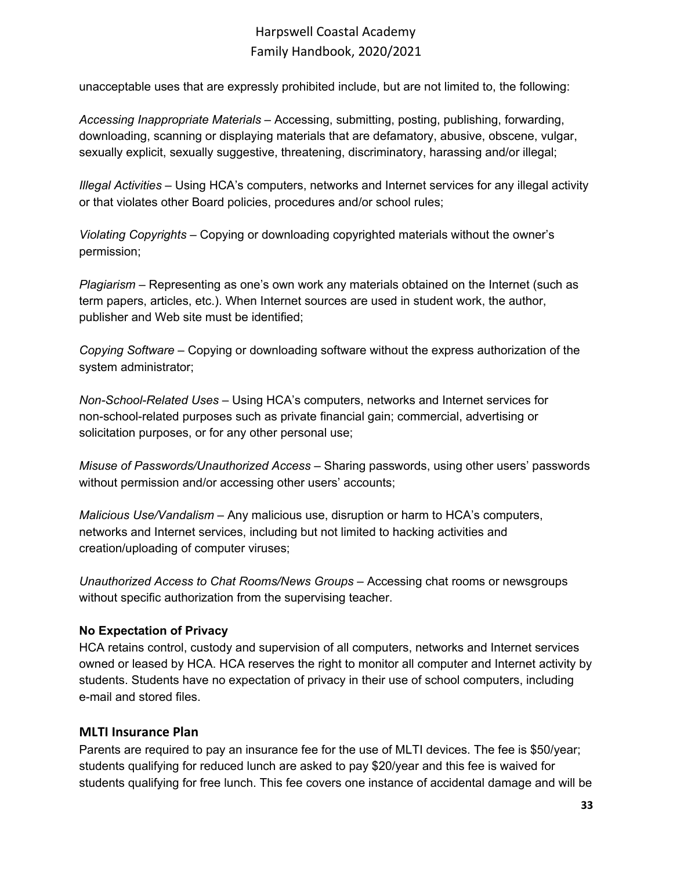unacceptable uses that are expressly prohibited include, but are not limited to, the following:

*Accessing Inappropriate Materials* – Accessing, submitting, posting, publishing, forwarding, downloading, scanning or displaying materials that are defamatory, abusive, obscene, vulgar, sexually explicit, sexually suggestive, threatening, discriminatory, harassing and/or illegal;

*Illegal Activities* – Using HCA's computers, networks and Internet services for any illegal activity or that violates other Board policies, procedures and/or school rules;

*Violating Copyrights* – Copying or downloading copyrighted materials without the owner's permission;

*Plagiarism* – Representing as one's own work any materials obtained on the Internet (such as term papers, articles, etc.). When Internet sources are used in student work, the author, publisher and Web site must be identified;

*Copying Software* – Copying or downloading software without the express authorization of the system administrator;

*Non-School-Related Uses* – Using HCA's computers, networks and Internet services for non-school-related purposes such as private financial gain; commercial, advertising or solicitation purposes, or for any other personal use;

*Misuse of Passwords/Unauthorized Access* – Sharing passwords, using other users' passwords without permission and/or accessing other users' accounts;

*Malicious Use/Vandalism* – Any malicious use, disruption or harm to HCA's computers, networks and Internet services, including but not limited to hacking activities and creation/uploading of computer viruses;

*Unauthorized Access to Chat Rooms/News Groups* – Accessing chat rooms or newsgroups without specific authorization from the supervising teacher.

### **No Expectation of Privacy**

HCA retains control, custody and supervision of all computers, networks and Internet services owned or leased by HCA. HCA reserves the right to monitor all computer and Internet activity by students. Students have no expectation of privacy in their use of school computers, including e-mail and stored files.

### <span id="page-32-0"></span>**MLTI Insurance Plan**

Parents are required to pay an insurance fee for the use of MLTI devices. The fee is \$50/year; students qualifying for reduced lunch are asked to pay \$20/year and this fee is waived for students qualifying for free lunch. This fee covers one instance of accidental damage and will be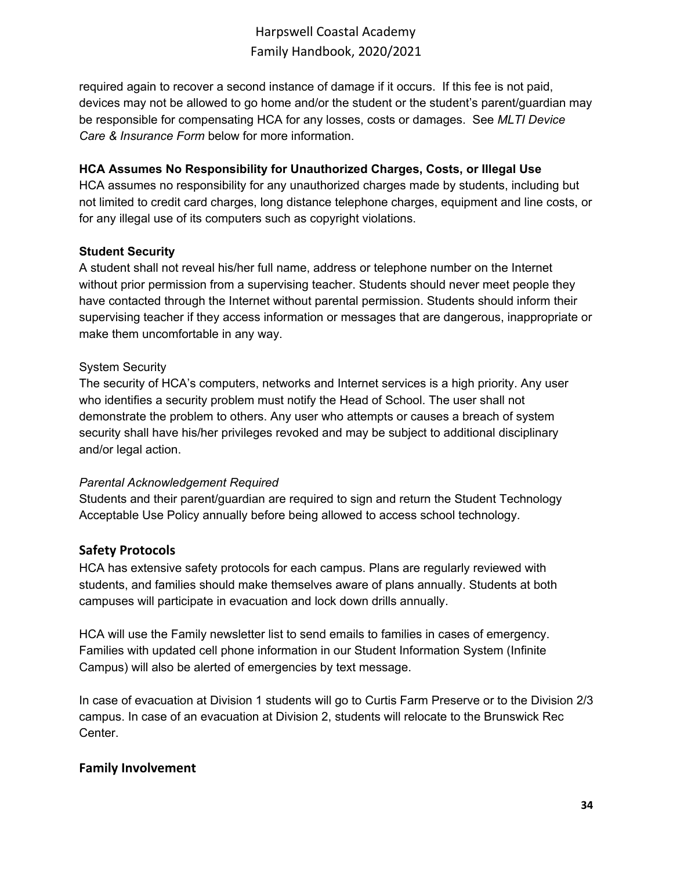required again to recover a second instance of damage if it occurs. If this fee is not paid, devices may not be allowed to go home and/or the student or the student's parent/guardian may be responsible for compensating HCA for any losses, costs or damages. See *MLTI Device Care & Insurance Form* below for more information.

#### **HCA Assumes No Responsibility for Unauthorized Charges, Costs, or Illegal Use**

HCA assumes no responsibility for any unauthorized charges made by students, including but not limited to credit card charges, long distance telephone charges, equipment and line costs, or for any illegal use of its computers such as copyright violations.

#### **Student Security**

A student shall not reveal his/her full name, address or telephone number on the Internet without prior permission from a supervising teacher. Students should never meet people they have contacted through the Internet without parental permission. Students should inform their supervising teacher if they access information or messages that are dangerous, inappropriate or make them uncomfortable in any way.

#### System Security

The security of HCA's computers, networks and Internet services is a high priority. Any user who identifies a security problem must notify the Head of School. The user shall not demonstrate the problem to others. Any user who attempts or causes a breach of system security shall have his/her privileges revoked and may be subject to additional disciplinary and/or legal action.

### *Parental Acknowledgement Required*

Students and their parent/guardian are required to sign and return the Student Technology Acceptable Use Policy annually before being allowed to access school technology.

### <span id="page-33-0"></span>**Safety Protocols**

HCA has extensive safety protocols for each campus. Plans are regularly reviewed with students, and families should make themselves aware of plans annually. Students at both campuses will participate in evacuation and lock down drills annually.

HCA will use the Family newsletter list to send emails to families in cases of emergency. Families with updated cell phone information in our Student Information System (Infinite Campus) will also be alerted of emergencies by text message.

In case of evacuation at Division 1 students will go to Curtis Farm Preserve or to the Division 2/3 campus. In case of an evacuation at Division 2, students will relocate to the Brunswick Rec Center.

### <span id="page-33-1"></span>**Family Involvement**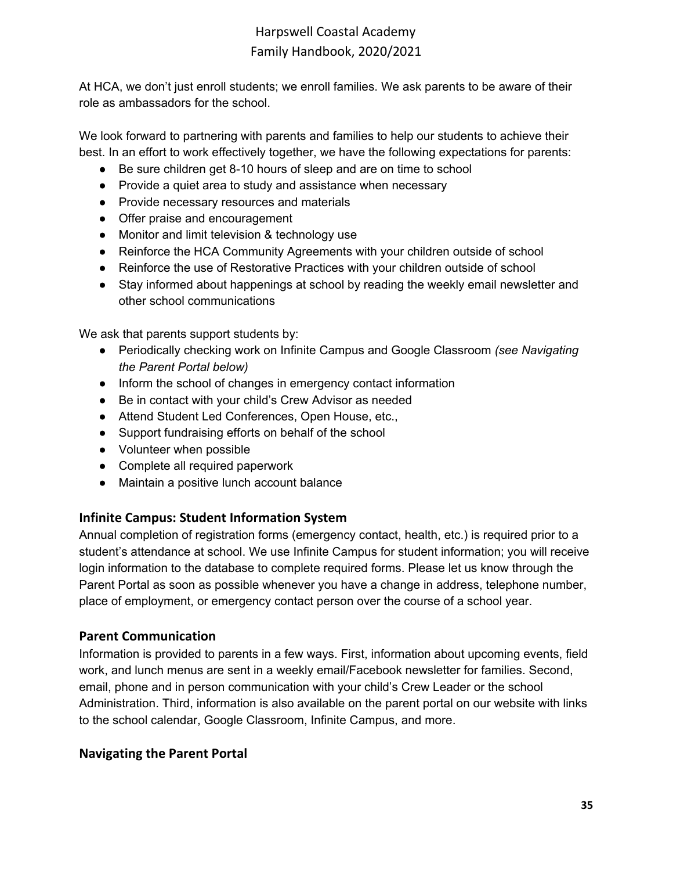At HCA, we don't just enroll students; we enroll families. We ask parents to be aware of their role as ambassadors for the school.

We look forward to partnering with parents and families to help our students to achieve their best. In an effort to work effectively together, we have the following expectations for parents:

- Be sure children get 8-10 hours of sleep and are on time to school
- Provide a quiet area to study and assistance when necessary
- Provide necessary resources and materials
- Offer praise and encouragement
- Monitor and limit television & technology use
- Reinforce the HCA Community Agreements with your children outside of school
- Reinforce the use of Restorative Practices with your children outside of school
- Stay informed about happenings at school by reading the weekly email newsletter and other school communications

We ask that parents support students by:

- Periodically checking work on Infinite Campus and Google Classroom *(see Navigating the Parent Portal below)*
- Inform the school of changes in emergency contact information
- Be in contact with your child's Crew Advisor as needed
- Attend Student Led Conferences, Open House, etc.,
- Support fundraising efforts on behalf of the school
- Volunteer when possible
- Complete all required paperwork
- Maintain a positive lunch account balance

## <span id="page-34-0"></span>**Infinite Campus: Student Information System**

Annual completion of registration forms (emergency contact, health, etc.) is required prior to a student's attendance at school. We use Infinite Campus for student information; you will receive login information to the database to complete required forms. Please let us know through the Parent Portal as soon as possible whenever you have a change in address, telephone number, place of employment, or emergency contact person over the course of a school year.

### <span id="page-34-1"></span>**Parent Communication**

Information is provided to parents in a few ways. First, information about upcoming events, field work, and lunch menus are sent in a weekly email/Facebook newsletter for families. Second, email, phone and in person communication with your child's Crew Leader or the school Administration. Third, information is also available on the parent portal on our website with links to the school calendar, Google Classroom, Infinite Campus, and more.

## <span id="page-34-2"></span>**Navigating the Parent Portal**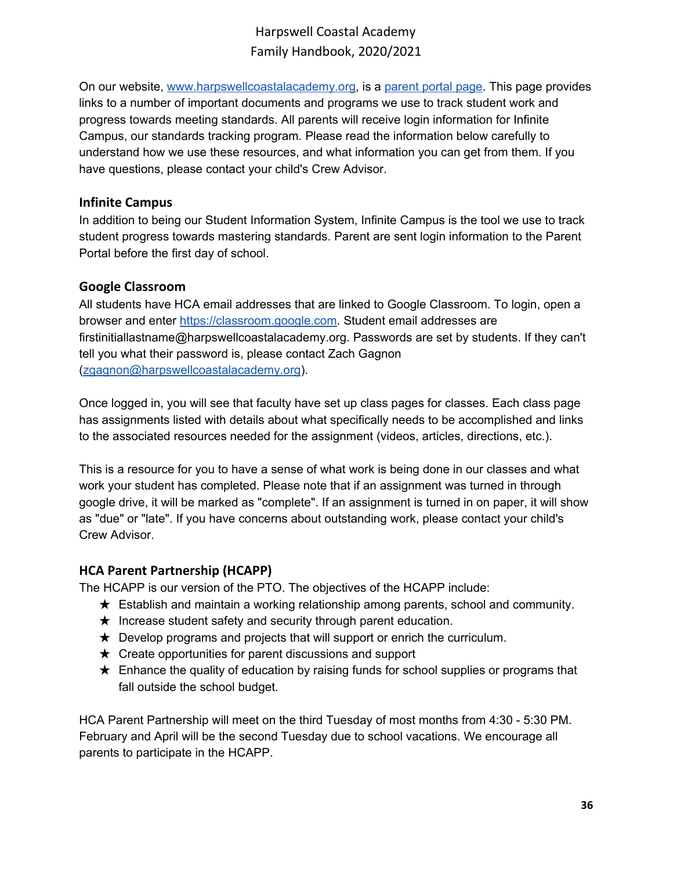On our website, [www.harpswellcoastalacademy.org,](http://www.harpswellcoastalacademy.org/) is a [parent](http://www.harpswellcoastalacademy.org/parents) portal page. This page provides links to a number of important documents and programs we use to track student work and progress towards meeting standards. All parents will receive login information for Infinite Campus, our standards tracking program. Please read the information below carefully to understand how we use these resources, and what information you can get from them. If you have questions, please contact your child's Crew Advisor.

## <span id="page-35-0"></span>**Infinite Campus**

In addition to being our Student Information System, Infinite Campus is the tool we use to track student progress towards mastering standards. Parent are sent login information to the Parent Portal before the first day of school.

## <span id="page-35-1"></span>**Google Classroom**

All students have HCA email addresses that are linked to Google Classroom. To login, open a browser and enter [https://classroom.google.com.](https://classroom.google.com/) Student email addresses are firstinitiallastname@harpswellcoastalacademy.org. Passwords are set by students. If they can't tell you what their password is, please contact Zach Gagnon ([zgagnon@harpswellcoastalacademy.org\)](mailto:zgagnon@harpswellcoastalacademy.org).

Once logged in, you will see that faculty have set up class pages for classes. Each class page has assignments listed with details about what specifically needs to be accomplished and links to the associated resources needed for the assignment (videos, articles, directions, etc.).

This is a resource for you to have a sense of what work is being done in our classes and what work your student has completed. Please note that if an assignment was turned in through google drive, it will be marked as "complete". If an assignment is turned in on paper, it will show as "due" or "late". If you have concerns about outstanding work, please contact your child's Crew Advisor.

## <span id="page-35-2"></span>**HCA Parent Partnership (HCAPP)**

The HCAPP is our version of the PTO. The objectives of the HCAPP include:

- ★ Establish and maintain a working relationship among parents, school and community.
- $\star$  Increase student safety and security through parent education.
- $\star$  Develop programs and projects that will support or enrich the curriculum.
- $\star$  Create opportunities for parent discussions and support
- $\star$  Enhance the quality of education by raising funds for school supplies or programs that fall outside the school budget.

HCA Parent Partnership will meet on the third Tuesday of most months from 4:30 - 5:30 PM. February and April will be the second Tuesday due to school vacations. We encourage all parents to participate in the HCAPP.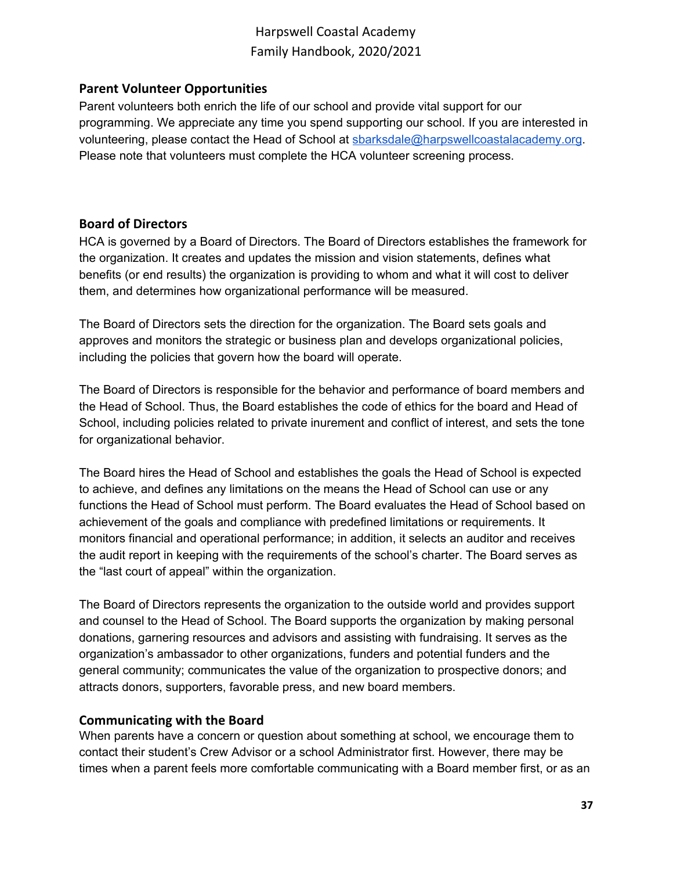### <span id="page-36-0"></span>**Parent Volunteer Opportunities**

Parent volunteers both enrich the life of our school and provide vital support for our programming. We appreciate any time you spend supporting our school. If you are interested in volunteering, please contact the Head of School at [sbarksdale@harpswellcoastalacademy.org.](mailto:sbarksdale@harpswellcoastalacademy.org) Please note that volunteers must complete the HCA volunteer screening process.

## <span id="page-36-1"></span>**Board of Directors**

HCA is governed by a Board of Directors. The Board of Directors establishes the framework for the organization. It creates and updates the mission and vision statements, defines what benefits (or end results) the organization is providing to whom and what it will cost to deliver them, and determines how organizational performance will be measured.

The Board of Directors sets the direction for the organization. The Board sets goals and approves and monitors the strategic or business plan and develops organizational policies, including the policies that govern how the board will operate.

The Board of Directors is responsible for the behavior and performance of board members and the Head of School. Thus, the Board establishes the code of ethics for the board and Head of School, including policies related to private inurement and conflict of interest, and sets the tone for organizational behavior.

The Board hires the Head of School and establishes the goals the Head of School is expected to achieve, and defines any limitations on the means the Head of School can use or any functions the Head of School must perform. The Board evaluates the Head of School based on achievement of the goals and compliance with predefined limitations or requirements. It monitors financial and operational performance; in addition, it selects an auditor and receives the audit report in keeping with the requirements of the school's charter. The Board serves as the "last court of appeal" within the organization.

The Board of Directors represents the organization to the outside world and provides support and counsel to the Head of School. The Board supports the organization by making personal donations, garnering resources and advisors and assisting with fundraising. It serves as the organization's ambassador to other organizations, funders and potential funders and the general community; communicates the value of the organization to prospective donors; and attracts donors, supporters, favorable press, and new board members.

### <span id="page-36-2"></span>**Communicating with the Board**

When parents have a concern or question about something at school, we encourage them to contact their student's Crew Advisor or a school Administrator first. However, there may be times when a parent feels more comfortable communicating with a Board member first, or as an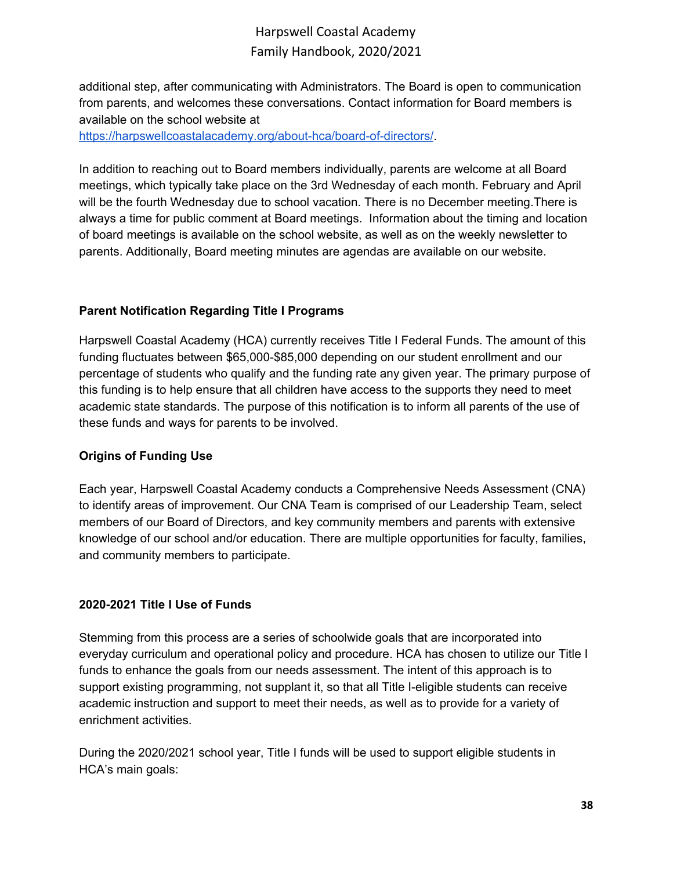additional step, after communicating with Administrators. The Board is open to communication from parents, and welcomes these conversations. Contact information for Board members is available on the school website at

<https://harpswellcoastalacademy.org/about-hca/board-of-directors/>.

In addition to reaching out to Board members individually, parents are welcome at all Board meetings, which typically take place on the 3rd Wednesday of each month. February and April will be the fourth Wednesday due to school vacation. There is no December meeting.There is always a time for public comment at Board meetings. Information about the timing and location of board meetings is available on the school website, as well as on the weekly newsletter to parents. Additionally, Board meeting minutes are agendas are available on our website.

### **Parent Notification Regarding Title I Programs**

Harpswell Coastal Academy (HCA) currently receives Title I Federal Funds. The amount of this funding fluctuates between \$65,000-\$85,000 depending on our student enrollment and our percentage of students who qualify and the funding rate any given year. The primary purpose of this funding is to help ensure that all children have access to the supports they need to meet academic state standards. The purpose of this notification is to inform all parents of the use of these funds and ways for parents to be involved.

### **Origins of Funding Use**

Each year, Harpswell Coastal Academy conducts a Comprehensive Needs Assessment (CNA) to identify areas of improvement. Our CNA Team is comprised of our Leadership Team, select members of our Board of Directors, and key community members and parents with extensive knowledge of our school and/or education. There are multiple opportunities for faculty, families, and community members to participate.

#### **2020-2021 Title I Use of Funds**

Stemming from this process are a series of schoolwide goals that are incorporated into everyday curriculum and operational policy and procedure. HCA has chosen to utilize our Title I funds to enhance the goals from our needs assessment. The intent of this approach is to support existing programming, not supplant it, so that all Title I-eligible students can receive academic instruction and support to meet their needs, as well as to provide for a variety of enrichment activities.

During the 2020/2021 school year, Title I funds will be used to support eligible students in HCA's main goals: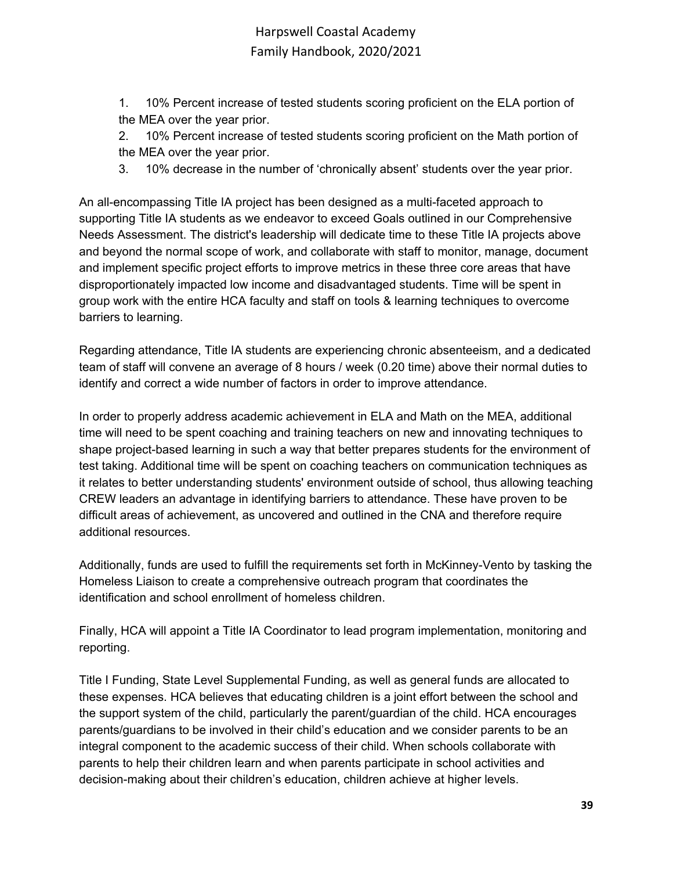1. 10% Percent increase of tested students scoring proficient on the ELA portion of the MEA over the year prior.

2. 10% Percent increase of tested students scoring proficient on the Math portion of the MEA over the year prior.

3. 10% decrease in the number of 'chronically absent' students over the year prior.

An all-encompassing Title IA project has been designed as a multi-faceted approach to supporting Title IA students as we endeavor to exceed Goals outlined in our Comprehensive Needs Assessment. The district's leadership will dedicate time to these Title IA projects above and beyond the normal scope of work, and collaborate with staff to monitor, manage, document and implement specific project efforts to improve metrics in these three core areas that have disproportionately impacted low income and disadvantaged students. Time will be spent in group work with the entire HCA faculty and staff on tools & learning techniques to overcome barriers to learning.

Regarding attendance, Title IA students are experiencing chronic absenteeism, and a dedicated team of staff will convene an average of 8 hours / week (0.20 time) above their normal duties to identify and correct a wide number of factors in order to improve attendance.

In order to properly address academic achievement in ELA and Math on the MEA, additional time will need to be spent coaching and training teachers on new and innovating techniques to shape project-based learning in such a way that better prepares students for the environment of test taking. Additional time will be spent on coaching teachers on communication techniques as it relates to better understanding students' environment outside of school, thus allowing teaching CREW leaders an advantage in identifying barriers to attendance. These have proven to be difficult areas of achievement, as uncovered and outlined in the CNA and therefore require additional resources.

Additionally, funds are used to fulfill the requirements set forth in McKinney-Vento by tasking the Homeless Liaison to create a comprehensive outreach program that coordinates the identification and school enrollment of homeless children.

Finally, HCA will appoint a Title IA Coordinator to lead program implementation, monitoring and reporting.

Title I Funding, State Level Supplemental Funding, as well as general funds are allocated to these expenses. HCA believes that educating children is a joint effort between the school and the support system of the child, particularly the parent/guardian of the child. HCA encourages parents/guardians to be involved in their child's education and we consider parents to be an integral component to the academic success of their child. When schools collaborate with parents to help their children learn and when parents participate in school activities and decision-making about their children's education, children achieve at higher levels.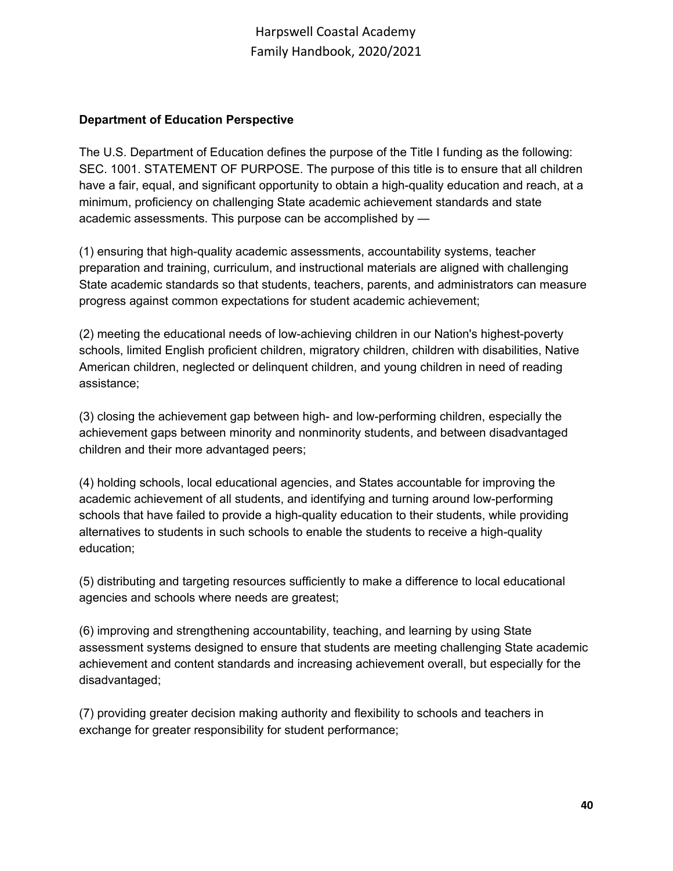#### **Department of Education Perspective**

The U.S. Department of Education defines the purpose of the Title I funding as the following: SEC. 1001. STATEMENT OF PURPOSE. The purpose of this title is to ensure that all children have a fair, equal, and significant opportunity to obtain a high-quality education and reach, at a minimum, proficiency on challenging State academic achievement standards and state academic assessments. This purpose can be accomplished by —

(1) ensuring that high-quality academic assessments, accountability systems, teacher preparation and training, curriculum, and instructional materials are aligned with challenging State academic standards so that students, teachers, parents, and administrators can measure progress against common expectations for student academic achievement;

(2) meeting the educational needs of low-achieving children in our Nation's highest-poverty schools, limited English proficient children, migratory children, children with disabilities, Native American children, neglected or delinquent children, and young children in need of reading assistance;

(3) closing the achievement gap between high- and low-performing children, especially the achievement gaps between minority and nonminority students, and between disadvantaged children and their more advantaged peers;

(4) holding schools, local educational agencies, and States accountable for improving the academic achievement of all students, and identifying and turning around low-performing schools that have failed to provide a high-quality education to their students, while providing alternatives to students in such schools to enable the students to receive a high-quality education;

(5) distributing and targeting resources sufficiently to make a difference to local educational agencies and schools where needs are greatest;

(6) improving and strengthening accountability, teaching, and learning by using State assessment systems designed to ensure that students are meeting challenging State academic achievement and content standards and increasing achievement overall, but especially for the disadvantaged;

(7) providing greater decision making authority and flexibility to schools and teachers in exchange for greater responsibility for student performance;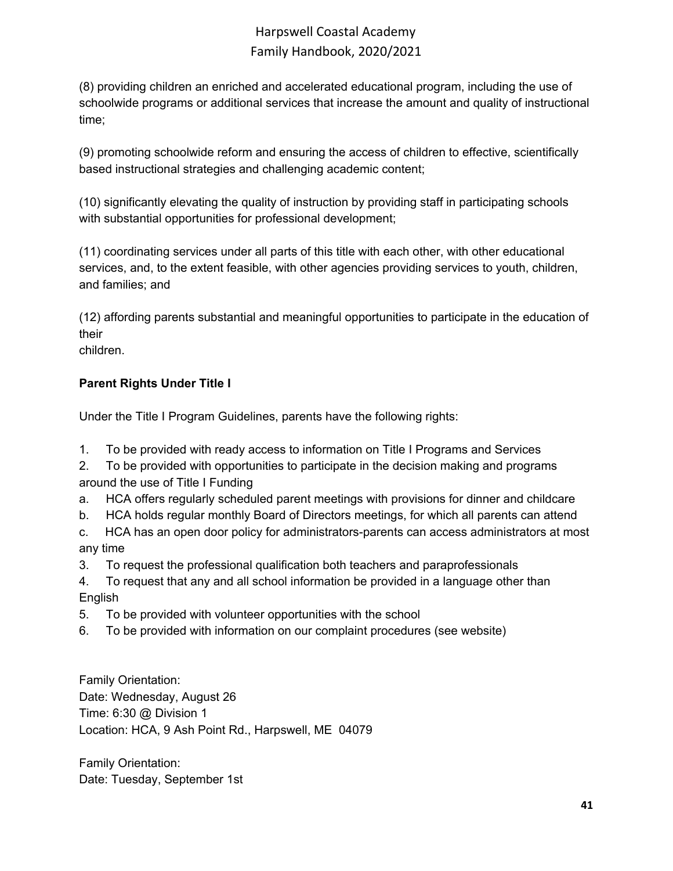(8) providing children an enriched and accelerated educational program, including the use of schoolwide programs or additional services that increase the amount and quality of instructional time;

(9) promoting schoolwide reform and ensuring the access of children to effective, scientifically based instructional strategies and challenging academic content;

(10) significantly elevating the quality of instruction by providing staff in participating schools with substantial opportunities for professional development;

(11) coordinating services under all parts of this title with each other, with other educational services, and, to the extent feasible, with other agencies providing services to youth, children, and families; and

(12) affording parents substantial and meaningful opportunities to participate in the education of their

children.

## **Parent Rights Under Title I**

Under the Title I Program Guidelines, parents have the following rights:

- 1. To be provided with ready access to information on Title I Programs and Services
- 2. To be provided with opportunities to participate in the decision making and programs around the use of Title I Funding
- a. HCA offers regularly scheduled parent meetings with provisions for dinner and childcare
- b. HCA holds regular monthly Board of Directors meetings, for which all parents can attend
- c. HCA has an open door policy for administrators-parents can access administrators at most any time
- 3. To request the professional qualification both teachers and paraprofessionals
- 4. To request that any and all school information be provided in a language other than English
- 5. To be provided with volunteer opportunities with the school
- 6. To be provided with information on our complaint procedures (see website)

Family Orientation: Date: Wednesday, August 26 Time: 6:30 @ Division 1 Location: HCA, 9 Ash Point Rd., Harpswell, ME 04079

Family Orientation: Date: Tuesday, September 1st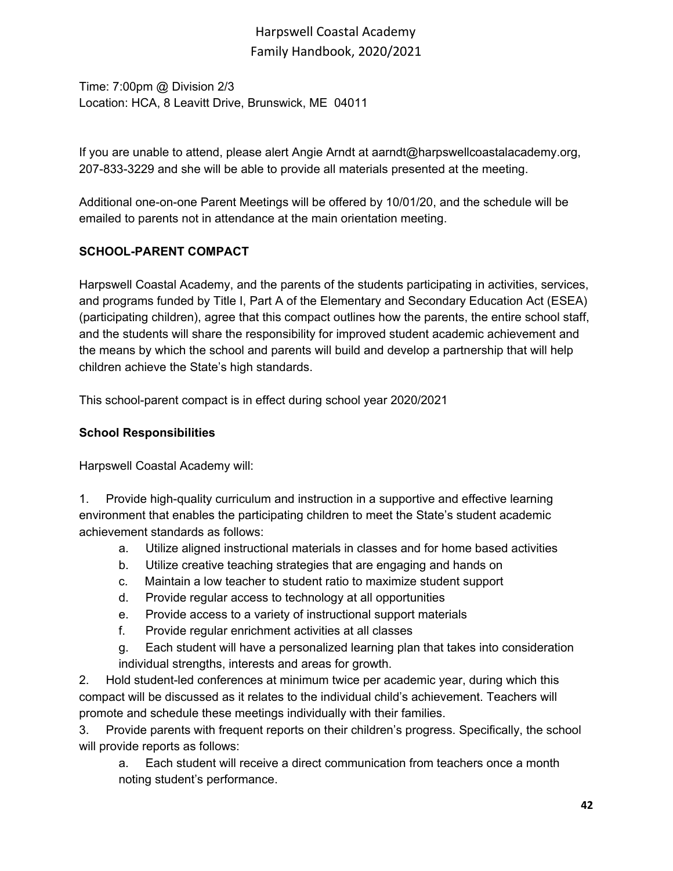Time: 7:00pm @ Division 2/3 Location: HCA, 8 Leavitt Drive, Brunswick, ME 04011

If you are unable to attend, please alert Angie Arndt at aarndt@harpswellcoastalacademy.org, 207-833-3229 and she will be able to provide all materials presented at the meeting.

Additional one-on-one Parent Meetings will be offered by 10/01/20, and the schedule will be emailed to parents not in attendance at the main orientation meeting.

## **SCHOOL-PARENT COMPACT**

Harpswell Coastal Academy, and the parents of the students participating in activities, services, and programs funded by Title I, Part A of the Elementary and Secondary Education Act (ESEA) (participating children), agree that this compact outlines how the parents, the entire school staff, and the students will share the responsibility for improved student academic achievement and the means by which the school and parents will build and develop a partnership that will help children achieve the State's high standards.

This school-parent compact is in effect during school year 2020/2021

## **School Responsibilities**

Harpswell Coastal Academy will:

1. Provide high-quality curriculum and instruction in a supportive and effective learning environment that enables the participating children to meet the State's student academic achievement standards as follows:

- a. Utilize aligned instructional materials in classes and for home based activities
- b. Utilize creative teaching strategies that are engaging and hands on
- c. Maintain a low teacher to student ratio to maximize student support
- d. Provide regular access to technology at all opportunities
- e. Provide access to a variety of instructional support materials
- f. Provide regular enrichment activities at all classes
- g. Each student will have a personalized learning plan that takes into consideration individual strengths, interests and areas for growth.

2. Hold student-led conferences at minimum twice per academic year, during which this compact will be discussed as it relates to the individual child's achievement. Teachers will promote and schedule these meetings individually with their families.

3. Provide parents with frequent reports on their children's progress. Specifically, the school will provide reports as follows:

a. Each student will receive a direct communication from teachers once a month noting student's performance.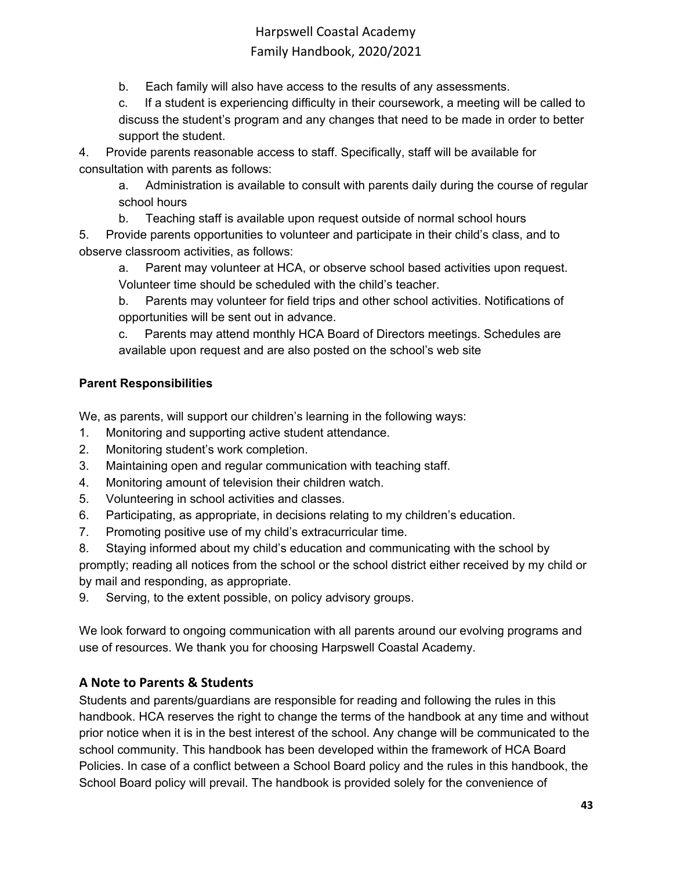b. Each family will also have access to the results of any assessments.

c. If a student is experiencing difficulty in their coursework, a meeting will be called to discuss the student's program and any changes that need to be made in order to better support the student.

4. Provide parents reasonable access to staff. Specifically, staff will be available for consultation with parents as follows:

a. Administration is available to consult with parents daily during the course of regular school hours

b. Teaching staff is available upon request outside of normal school hours

5. Provide parents opportunities to volunteer and participate in their child's class, and to observe classroom activities, as follows:

a. Parent may volunteer at HCA, or observe school based activities upon request. Volunteer time should be scheduled with the child's teacher.

b. Parents may volunteer for field trips and other school activities. Notifications of opportunities will be sent out in advance.

c. Parents may attend monthly HCA Board of Directors meetings. Schedules are available upon request and are also posted on the school's web site

## **Parent Responsibilities**

We, as parents, will support our children's learning in the following ways:

- 1. Monitoring and supporting active student attendance.
- 2. Monitoring student's work completion.
- 3. Maintaining open and regular communication with teaching staff.
- 4. Monitoring amount of television their children watch.
- 5. Volunteering in school activities and classes.
- 6. Participating, as appropriate, in decisions relating to my children's education.
- 7. Promoting positive use of my child's extracurricular time.

8. Staying informed about my child's education and communicating with the school by promptly; reading all notices from the school or the school district either received by my child or by mail and responding, as appropriate.

9. Serving, to the extent possible, on policy advisory groups.

We look forward to ongoing communication with all parents around our evolving programs and use of resources. We thank you for choosing Harpswell Coastal Academy.

## <span id="page-42-0"></span>**A Note to Parents & Students**

Students and parents/guardians are responsible for reading and following the rules in this handbook. HCA reserves the right to change the terms of the handbook at any time and without prior notice when it is in the best interest of the school. Any change will be communicated to the school community. This handbook has been developed within the framework of HCA Board Policies. In case of a conflict between a School Board policy and the rules in this handbook, the School Board policy will prevail. The handbook is provided solely for the convenience of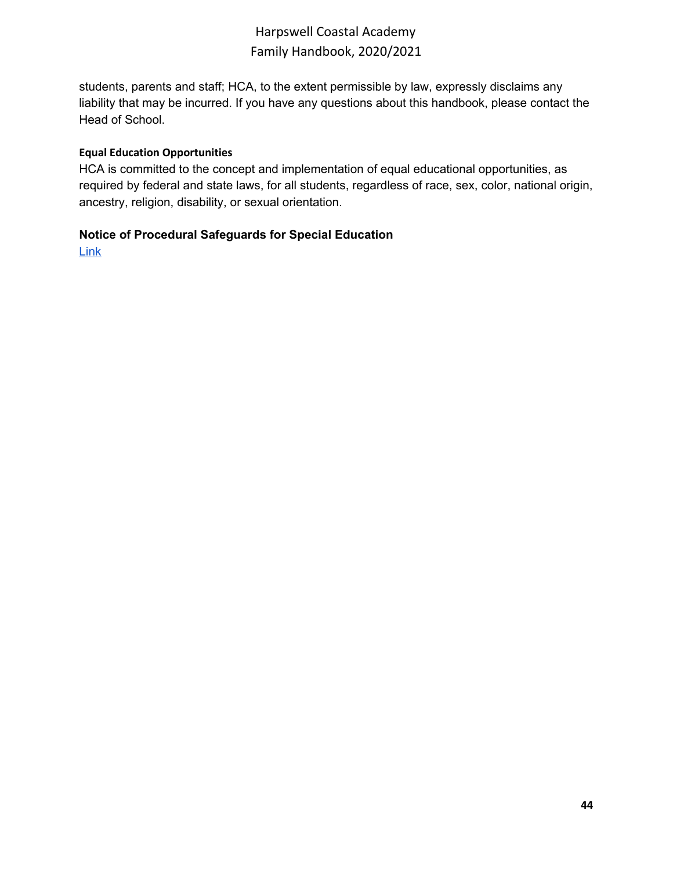students, parents and staff; HCA, to the extent permissible by law, expressly disclaims any liability that may be incurred. If you have any questions about this handbook, please contact the Head of School.

#### <span id="page-43-0"></span>**Equal Education Opportunities**

HCA is committed to the concept and implementation of equal educational opportunities, as required by federal and state laws, for all students, regardless of race, sex, color, national origin, ancestry, religion, disability, or sexual orientation.

#### **Notice of Procedural Safeguards for Special Education**

**[Link](https://www.maine.gov/doe/sites/maine.gov.doe/files/inline-files/english.pdf)**